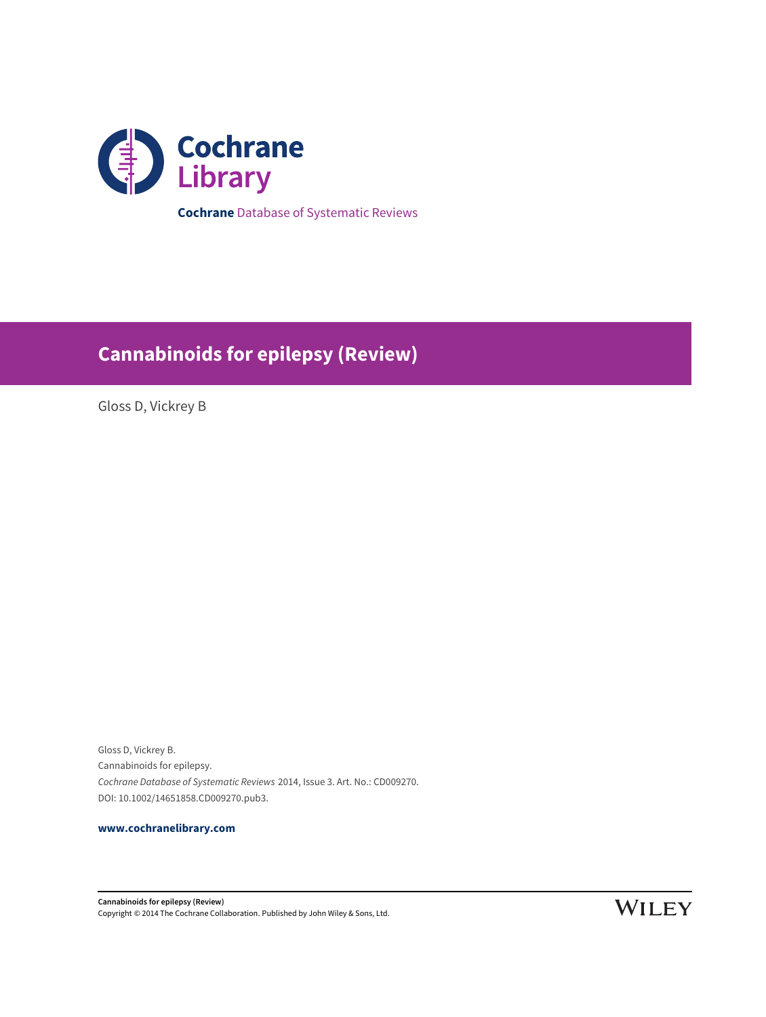

**Cochrane** Database of Systematic Reviews

# **Cannabinoids for epilepsy (Review)**

Gloss D, Vickrey B

Gloss D, Vickrey B. Cannabinoids for epilepsy. Cochrane Database of Systematic Reviews 2014, Issue 3. Art. No.: CD009270. DOI: 10.1002/14651858.CD009270.pub3.

**[www.cochranelibrary.com](http://www.cochranelibrary.com)**

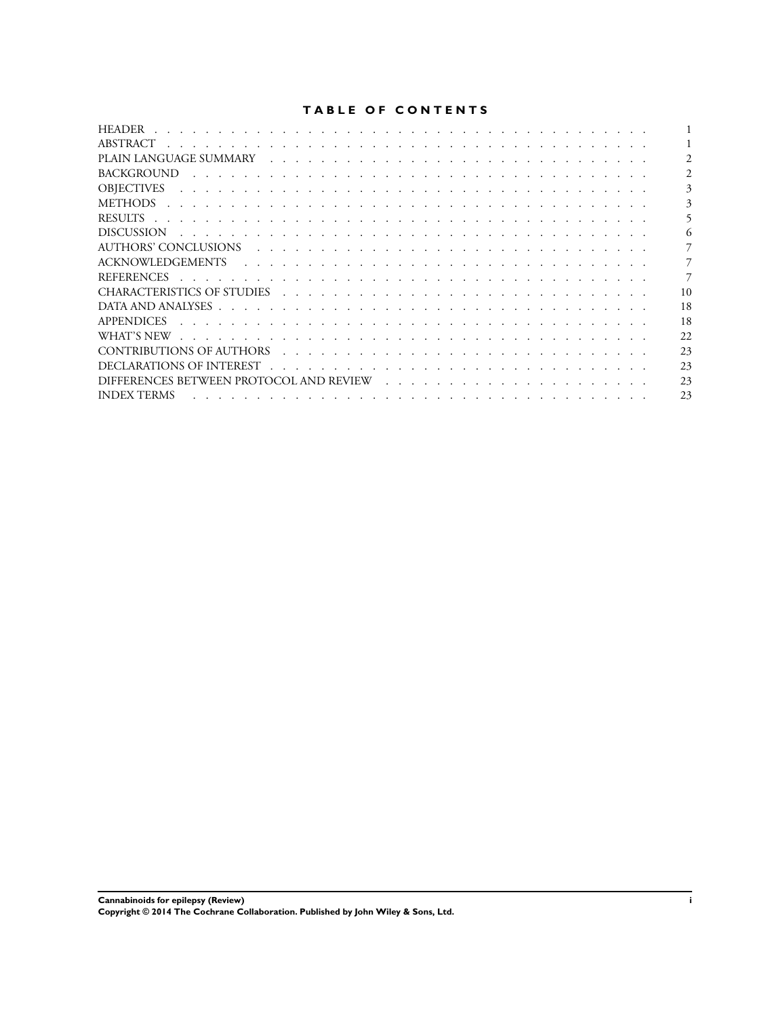### **TABLE OF CONTENTS**

| <b>HEADER</b>                                                                                                                                                                                                                                      |    |
|----------------------------------------------------------------------------------------------------------------------------------------------------------------------------------------------------------------------------------------------------|----|
| ABSTRACT                                                                                                                                                                                                                                           |    |
|                                                                                                                                                                                                                                                    |    |
| <b>BACKGROUND</b>                                                                                                                                                                                                                                  |    |
| <b>OBIECTIVES</b><br>the contract of the contract of the contract of the contract of the contract of the contract of the contract of                                                                                                               |    |
| METHODS                                                                                                                                                                                                                                            |    |
|                                                                                                                                                                                                                                                    |    |
| <b>DISCUSSION</b><br>and a construction of the construction of the construction of the construction of the construction of the construction of the construction of the construction of the construction of the construction of the construction of |    |
| AUTHORS' CONCLUSIONS                                                                                                                                                                                                                               |    |
|                                                                                                                                                                                                                                                    |    |
| <b>REFERENCES</b><br>and a constitution of the constitution of the constitution of the constitution of the constitution of the constitution of the constitution of the constitution of the constitution of the constitution of the constitution of |    |
|                                                                                                                                                                                                                                                    | 10 |
|                                                                                                                                                                                                                                                    | 18 |
| <b>APPENDICES</b>                                                                                                                                                                                                                                  | 18 |
|                                                                                                                                                                                                                                                    | 22 |
|                                                                                                                                                                                                                                                    | 23 |
|                                                                                                                                                                                                                                                    | 23 |
| DIFFERENCES BETWEEN PROTOCOL AND REVIEW                                                                                                                                                                                                            | 23 |
| <b>INDEX TERMS</b>                                                                                                                                                                                                                                 | 23 |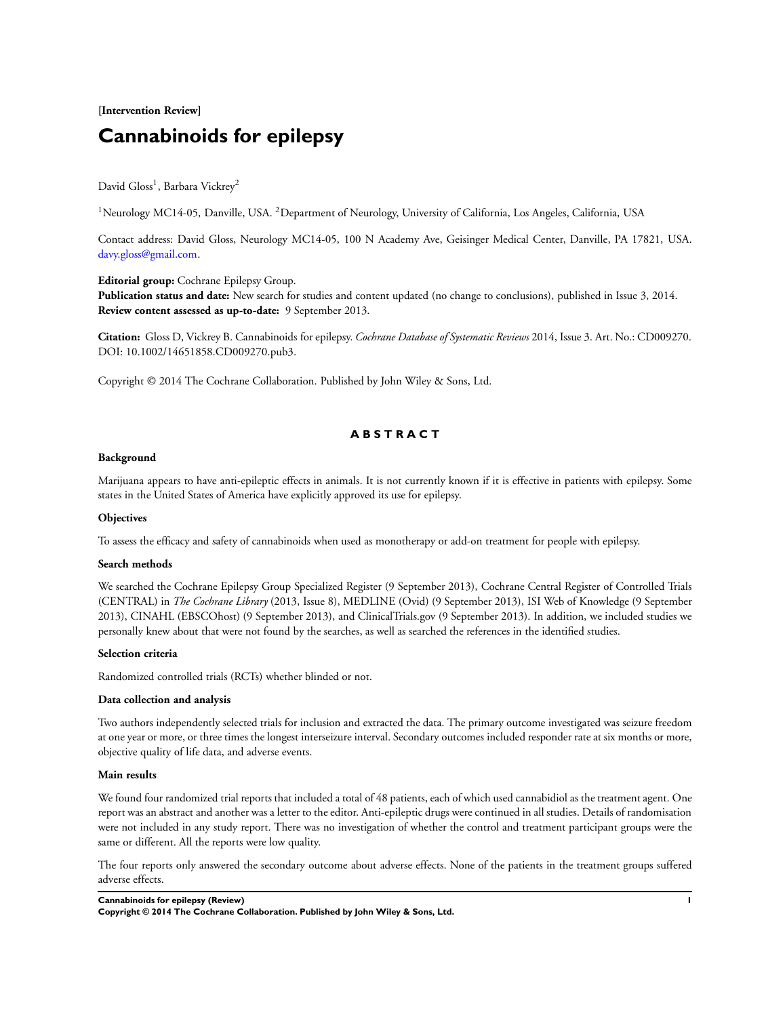**[Intervention Review]**

# **Cannabinoids for epilepsy**

David Gloss<sup>1</sup>, Barbara Vickrey<sup>2</sup>

<sup>1</sup>Neurology MC14-05, Danville, USA. <sup>2</sup>Department of Neurology, University of California, Los Angeles, California, USA

Contact address: David Gloss, Neurology MC14-05, 100 N Academy Ave, Geisinger Medical Center, Danville, PA 17821, USA. [davy.gloss@gmail.com.](mailto:davy.gloss@gmail.com)

**Editorial group:** Cochrane Epilepsy Group.

**Publication status and date:** New search for studies and content updated (no change to conclusions), published in Issue 3, 2014. **Review content assessed as up-to-date:** 9 September 2013.

**Citation:** Gloss D, Vickrey B. Cannabinoids for epilepsy. *Cochrane Database of Systematic Reviews* 2014, Issue 3. Art. No.: CD009270. DOI: 10.1002/14651858.CD009270.pub3.

Copyright © 2014 The Cochrane Collaboration. Published by John Wiley & Sons, Ltd.

### **A B S T R A C T**

#### **Background**

Marijuana appears to have anti-epileptic effects in animals. It is not currently known if it is effective in patients with epilepsy. Some states in the United States of America have explicitly approved its use for epilepsy.

#### **Objectives**

To assess the efficacy and safety of cannabinoids when used as monotherapy or add-on treatment for people with epilepsy.

#### **Search methods**

We searched the Cochrane Epilepsy Group Specialized Register (9 September 2013), Cochrane Central Register of Controlled Trials (CENTRAL) in *The Cochrane Library* (2013, Issue 8), MEDLINE (Ovid) (9 September 2013), ISI Web of Knowledge (9 September 2013), CINAHL (EBSCOhost) (9 September 2013), and ClinicalTrials.gov (9 September 2013). In addition, we included studies we personally knew about that were not found by the searches, as well as searched the references in the identified studies.

#### **Selection criteria**

Randomized controlled trials (RCTs) whether blinded or not.

#### **Data collection and analysis**

Two authors independently selected trials for inclusion and extracted the data. The primary outcome investigated was seizure freedom at one year or more, or three times the longest interseizure interval. Secondary outcomes included responder rate at six months or more, objective quality of life data, and adverse events.

#### **Main results**

We found four randomized trial reports that included a total of 48 patients, each of which used cannabidiol as the treatment agent. One report was an abstract and another was a letter to the editor. Anti-epileptic drugs were continued in all studies. Details of randomisation were not included in any study report. There was no investigation of whether the control and treatment participant groups were the same or different. All the reports were low quality.

The four reports only answered the secondary outcome about adverse effects. None of the patients in the treatment groups suffered adverse effects.

**Cannabinoids for epilepsy (Review) 1**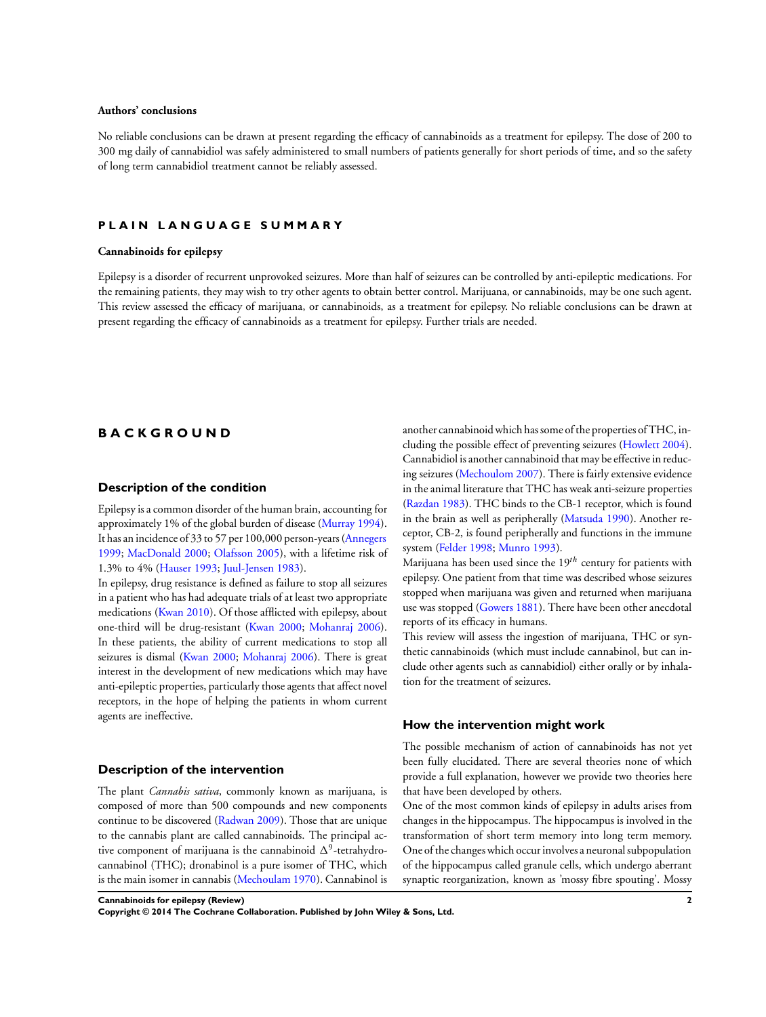#### **Authors' conclusions**

No reliable conclusions can be drawn at present regarding the efficacy of cannabinoids as a treatment for epilepsy. The dose of 200 to 300 mg daily of cannabidiol was safely administered to small numbers of patients generally for short periods of time, and so the safety of long term cannabidiol treatment cannot be reliably assessed.

### **P L A I N L A N G U A G E S U M M A R Y**

### **Cannabinoids for epilepsy**

Epilepsy is a disorder of recurrent unprovoked seizures. More than half of seizures can be controlled by anti-epileptic medications. For the remaining patients, they may wish to try other agents to obtain better control. Marijuana, or cannabinoids, may be one such agent. This review assessed the efficacy of marijuana, or cannabinoids, as a treatment for epilepsy. No reliable conclusions can be drawn at present regarding the efficacy of cannabinoids as a treatment for epilepsy. Further trials are needed.

### **B A C K G R O U N D**

#### **Description of the condition**

Epilepsy is a common disorder of the human brain, accounting for approximately 1% of the global burden of disease [\(Murray 1994](#page-8-0)). It has an incidence of 33 to 57 per 100,000 person-years [\(Annegers](#page-8-0) [1999](#page-8-0); [MacDonald 2000;](#page-8-0) [Olafsson 2005\)](#page-8-0), with a lifetime risk of 1.3% to 4% ([Hauser 1993](#page-8-0); [Juul-Jensen 1983](#page-8-0)).

In epilepsy, drug resistance is defined as failure to stop all seizures in a patient who has had adequate trials of at least two appropriate medications ([Kwan 2010](#page-8-0)). Of those afflicted with epilepsy, about one-third will be drug-resistant ([Kwan 2000;](#page-8-0) [Mohanraj 2006](#page-8-0)). In these patients, the ability of current medications to stop all seizures is dismal [\(Kwan 2000](#page-8-0); [Mohanraj 2006](#page-8-0)). There is great interest in the development of new medications which may have anti-epileptic properties, particularly those agents that affect novel receptors, in the hope of helping the patients in whom current agents are ineffective.

#### **Description of the intervention**

The plant *Cannabis sativa*, commonly known as marijuana, is composed of more than 500 compounds and new components continue to be discovered ([Radwan 2009\)](#page-8-0). Those that are unique to the cannabis plant are called cannabinoids. The principal active component of marijuana is the cannabinoid  $\Delta^9$ -tetrahydrocannabinol (THC); dronabinol is a pure isomer of THC, which is the main isomer in cannabis [\(Mechoulam 1970](#page-8-0)). Cannabinol is another cannabinoid which has some of the properties of THC, including the possible effect of preventing seizures [\(Howlett 2004](#page-8-0)). Cannabidiol is another cannabinoid that may be effective in reducing seizures [\(Mechoulom 2007](#page-8-0)). There is fairly extensive evidence in the animal literature that THC has weak anti-seizure properties [\(Razdan 1983\)](#page-8-0). THC binds to the CB-1 receptor, which is found in the brain as well as peripherally ([Matsuda 1990\)](#page-8-0). Another receptor, CB-2, is found peripherally and functions in the immune system ([Felder 1998](#page-8-0); [Munro 1993](#page-8-0)).

Marijuana has been used since the  $19<sup>th</sup>$  century for patients with epilepsy. One patient from that time was described whose seizures stopped when marijuana was given and returned when marijuana use was stopped ([Gowers 1881](#page-8-0)). There have been other anecdotal reports of its efficacy in humans.

This review will assess the ingestion of marijuana, THC or synthetic cannabinoids (which must include cannabinol, but can include other agents such as cannabidiol) either orally or by inhalation for the treatment of seizures.

#### **How the intervention might work**

The possible mechanism of action of cannabinoids has not yet been fully elucidated. There are several theories none of which provide a full explanation, however we provide two theories here that have been developed by others.

One of the most common kinds of epilepsy in adults arises from changes in the hippocampus. The hippocampus is involved in the transformation of short term memory into long term memory. One of the changes which occur involves a neuronal subpopulation of the hippocampus called granule cells, which undergo aberrant synaptic reorganization, known as 'mossy fibre spouting'. Mossy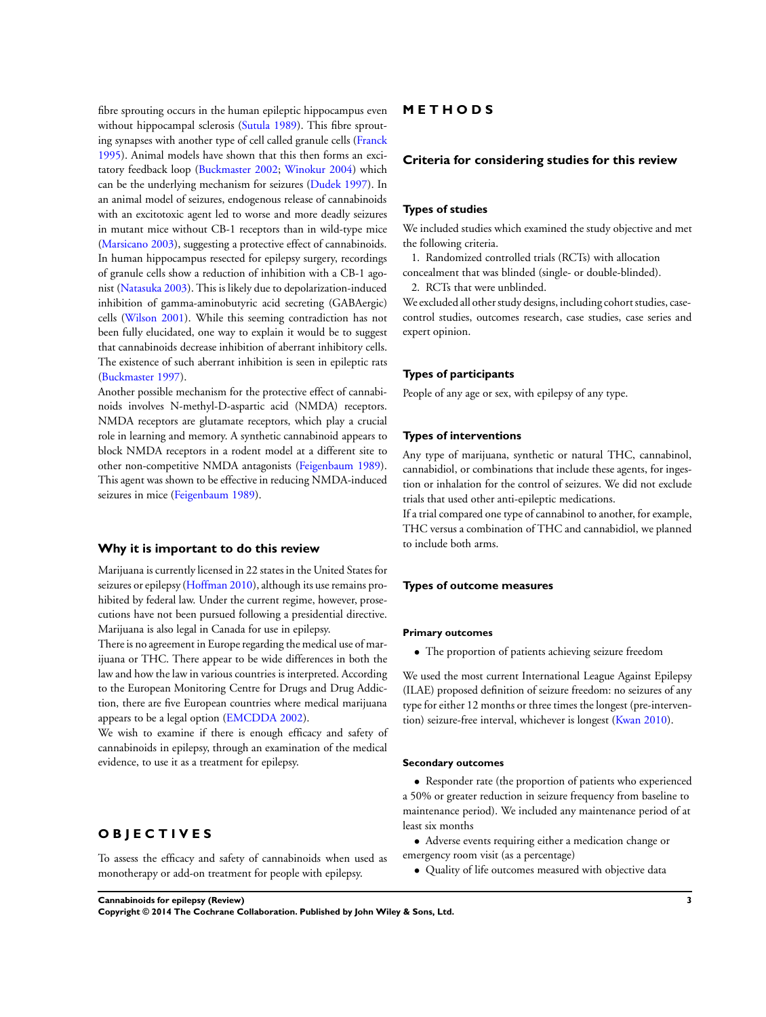fibre sprouting occurs in the human epileptic hippocampus even without hippocampal sclerosis [\(Sutula 1989](#page-8-0)). This fibre sprouting synapses with another type of cell called granule cells [\(Franck](#page-8-0) [1995](#page-8-0)). Animal models have shown that this then forms an excitatory feedback loop [\(Buckmaster 2002](#page-8-0); [Winokur 2004](#page-8-0)) which can be the underlying mechanism for seizures [\(Dudek 1997\)](#page-8-0). In an animal model of seizures, endogenous release of cannabinoids with an excitotoxic agent led to worse and more deadly seizures in mutant mice without CB-1 receptors than in wild-type mice [\(Marsicano 2003](#page-8-0)), suggesting a protective effect of cannabinoids. In human hippocampus resected for epilepsy surgery, recordings of granule cells show a reduction of inhibition with a CB-1 agonist ([Natasuka 2003\)](#page-8-0). This is likely due to depolarization-induced inhibition of gamma-aminobutyric acid secreting (GABAergic) cells [\(Wilson 2001\)](#page-8-0). While this seeming contradiction has not been fully elucidated, one way to explain it would be to suggest that cannabinoids decrease inhibition of aberrant inhibitory cells. The existence of such aberrant inhibition is seen in epileptic rats [\(Buckmaster 1997](#page-8-0)).

Another possible mechanism for the protective effect of cannabinoids involves N-methyl-D-aspartic acid (NMDA) receptors. NMDA receptors are glutamate receptors, which play a crucial role in learning and memory. A synthetic cannabinoid appears to block NMDA receptors in a rodent model at a different site to other non-competitive NMDA antagonists ([Feigenbaum 1989](#page-8-0)). This agent was shown to be effective in reducing NMDA-induced seizures in mice ([Feigenbaum 1989](#page-8-0)).

#### **Why it is important to do this review**

Marijuana is currently licensed in 22 states in the United States for seizures or epilepsy ([Hoffman 2010\)](#page-8-0), although its use remains prohibited by federal law. Under the current regime, however, prosecutions have not been pursued following a presidential directive. Marijuana is also legal in Canada for use in epilepsy.

There is no agreement in Europe regarding the medical use of marijuana or THC. There appear to be wide differences in both the law and how the law in various countries is interpreted. According to the European Monitoring Centre for Drugs and Drug Addiction, there are five European countries where medical marijuana appears to be a legal option [\(EMCDDA 2002\)](#page-8-0).

We wish to examine if there is enough efficacy and safety of cannabinoids in epilepsy, through an examination of the medical evidence, to use it as a treatment for epilepsy.

### **O B J E C T I V E S**

To assess the efficacy and safety of cannabinoids when used as monotherapy or add-on treatment for people with epilepsy.

### **M E T H O D S**

### **Criteria for considering studies for this review**

### **Types of studies**

We included studies which examined the study objective and met the following criteria.

1. Randomized controlled trials (RCTs) with allocation concealment that was blinded (single- or double-blinded).

2. RCTs that were unblinded.

We excluded all other study designs, including cohort studies, casecontrol studies, outcomes research, case studies, case series and expert opinion.

#### **Types of participants**

People of any age or sex, with epilepsy of any type.

#### **Types of interventions**

Any type of marijuana, synthetic or natural THC, cannabinol, cannabidiol, or combinations that include these agents, for ingestion or inhalation for the control of seizures. We did not exclude trials that used other anti-epileptic medications.

If a trial compared one type of cannabinol to another, for example, THC versus a combination of THC and cannabidiol, we planned to include both arms.

#### **Types of outcome measures**

#### **Primary outcomes**

• The proportion of patients achieving seizure freedom

We used the most current International League Against Epilepsy (ILAE) proposed definition of seizure freedom: no seizures of any type for either 12 months or three times the longest (pre-intervention) seizure-free interval, whichever is longest ([Kwan 2010\)](#page-8-0).

#### **Secondary outcomes**

• Responder rate (the proportion of patients who experienced a 50% or greater reduction in seizure frequency from baseline to maintenance period). We included any maintenance period of at least six months

• Adverse events requiring either a medication change or emergency room visit (as a percentage)

• Quality of life outcomes measured with objective data

**Cannabinoids for epilepsy (Review) 3**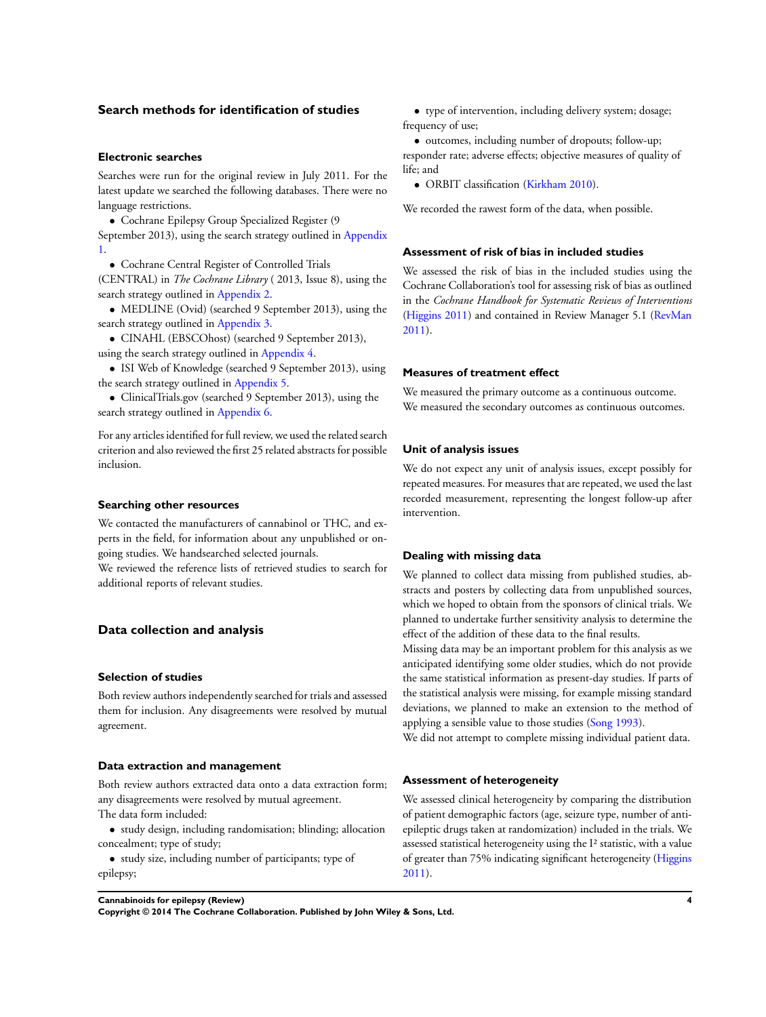### **Search methods for identification of studies**

### **Electronic searches**

Searches were run for the original review in July 2011. For the latest update we searched the following databases. There were no language restrictions.

• Cochrane Epilepsy Group Specialized Register (9 September 2013), using the search strategy outlined in [Appendix](#page-19-0)

[1.](#page-19-0)

• Cochrane Central Register of Controlled Trials (CENTRAL) in *The Cochrane Library* ( 2013, Issue 8), using the

search strategy outlined in [Appendix 2.](#page-19-0)

• MEDLINE (Ovid) (searched 9 September 2013), using the search strategy outlined in [Appendix 3.](#page-20-0)

• CINAHL (EBSCOhost) (searched 9 September 2013), using the search strategy outlined in [Appendix 4.](#page-21-0)

• ISI Web of Knowledge (searched 9 September 2013), using the search strategy outlined in [Appendix 5.](#page-22-0)

• ClinicalTrials.gov (searched 9 September 2013), using the search strategy outlined in [Appendix 6.](#page-23-0)

For any articles identified for full review, we used the related search criterion and also reviewed the first 25 related abstracts for possible inclusion.

#### **Searching other resources**

We contacted the manufacturers of cannabinol or THC, and experts in the field, for information about any unpublished or ongoing studies. We handsearched selected journals.

We reviewed the reference lists of retrieved studies to search for additional reports of relevant studies.

### **Data collection and analysis**

#### **Selection of studies**

Both review authors independently searched for trials and assessed them for inclusion. Any disagreements were resolved by mutual agreement.

#### **Data extraction and management**

Both review authors extracted data onto a data extraction form; any disagreements were resolved by mutual agreement. The data form included:

- study design, including randomisation; blinding; allocation concealment; type of study;
- study size, including number of participants; type of epilepsy;

• type of intervention, including delivery system; dosage; frequency of use;

• outcomes, including number of dropouts; follow-up; responder rate; adverse effects; objective measures of quality of life; and

• ORBIT classification ([Kirkham 2010\)](#page-8-0).

We recorded the rawest form of the data, when possible.

#### **Assessment of risk of bias in included studies**

We assessed the risk of bias in the included studies using the Cochrane Collaboration's tool for assessing risk of bias as outlined in the *Cochrane Handbook for Systematic Reviews of Interventions* [\(Higgins 2011\)](#page-8-0) and contained in Review Manager 5.1 ([RevMan](#page-8-0) [2011](#page-8-0)).

#### **Measures of treatment effect**

We measured the primary outcome as a continuous outcome. We measured the secondary outcomes as continuous outcomes.

#### **Unit of analysis issues**

We do not expect any unit of analysis issues, except possibly for repeated measures. For measures that are repeated, we used the last recorded measurement, representing the longest follow-up after intervention.

#### **Dealing with missing data**

We planned to collect data missing from published studies, abstracts and posters by collecting data from unpublished sources, which we hoped to obtain from the sponsors of clinical trials. We planned to undertake further sensitivity analysis to determine the effect of the addition of these data to the final results.

Missing data may be an important problem for this analysis as we anticipated identifying some older studies, which do not provide the same statistical information as present-day studies. If parts of the statistical analysis were missing, for example missing standard deviations, we planned to make an extension to the method of applying a sensible value to those studies ([Song 1993\)](#page-8-0).

We did not attempt to complete missing individual patient data.

### **Assessment of heterogeneity**

We assessed clinical heterogeneity by comparing the distribution of patient demographic factors (age, seizure type, number of antiepileptic drugs taken at randomization) included in the trials. We assessed statistical heterogeneity using the I² statistic, with a value of greater than 75% indicating significant heterogeneity ([Higgins](#page-8-0) [2011](#page-8-0)).

**Cannabinoids for epilepsy (Review) 4**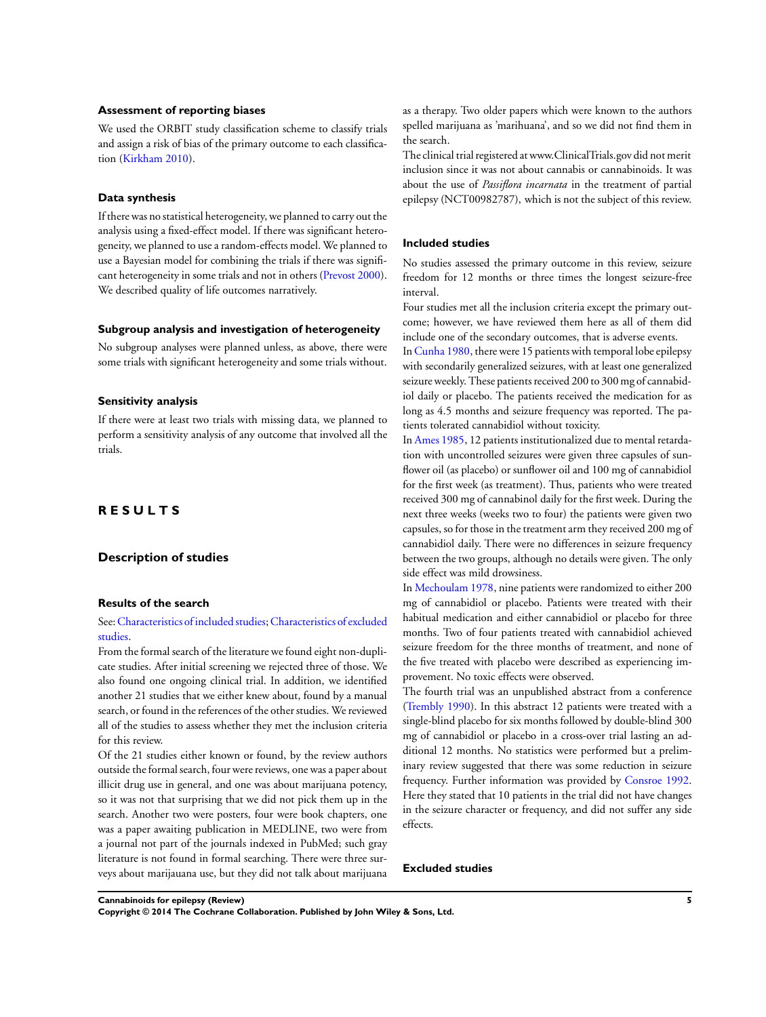#### **Assessment of reporting biases**

We used the ORBIT study classification scheme to classify trials and assign a risk of bias of the primary outcome to each classification ([Kirkham 2010\)](#page-8-0).

### **Data synthesis**

If there was no statistical heterogeneity, we planned to carry out the analysis using a fixed-effect model. If there was significant heterogeneity, we planned to use a random-effects model. We planned to use a Bayesian model for combining the trials if there was significant heterogeneity in some trials and not in others [\(Prevost 2000](#page-8-0)). We described quality of life outcomes narratively.

#### **Subgroup analysis and investigation of heterogeneity**

No subgroup analyses were planned unless, as above, there were some trials with significant heterogeneity and some trials without.

### **Sensitivity analysis**

If there were at least two trials with missing data, we planned to perform a sensitivity analysis of any outcome that involved all the trials.

# **R E S U L T S**

### **Description of studies**

### **Results of the search**

### See:[Characteristics of included studies;](#page-12-0)[Characteristics of excluded](#page-16-0) [studies.](#page-16-0)

From the formal search of the literature we found eight non-duplicate studies. After initial screening we rejected three of those. We also found one ongoing clinical trial. In addition, we identified another 21 studies that we either knew about, found by a manual search, or found in the references of the other studies. We reviewed all of the studies to assess whether they met the inclusion criteria for this review.

Of the 21 studies either known or found, by the review authors outside the formal search, four were reviews, one was a paper about illicit drug use in general, and one was about marijuana potency, so it was not that surprising that we did not pick them up in the search. Another two were posters, four were book chapters, one was a paper awaiting publication in MEDLINE, two were from a journal not part of the journals indexed in PubMed; such gray literature is not found in formal searching. There were three surveys about marijauana use, but they did not talk about marijuana

as a therapy. Two older papers which were known to the authors spelled marijuana as 'marihuana', and so we did not find them in the search.

The clinical trial registered at www.ClinicalTrials.gov did not merit inclusion since it was not about cannabis or cannabinoids. It was about the use of *Passiflora incarnata* in the treatment of partial epilepsy (NCT00982787), which is not the subject of this review.

#### **Included studies**

No studies assessed the primary outcome in this review, seizure freedom for 12 months or three times the longest seizure-free interval.

Four studies met all the inclusion criteria except the primary outcome; however, we have reviewed them here as all of them did include one of the secondary outcomes, that is adverse events.

In[Cunha 1980,](#page-8-0) there were 15 patients with temporal lobe epilepsy with secondarily generalized seizures, with at least one generalized seizure weekly. These patients received 200 to 300 mg of cannabidiol daily or placebo. The patients received the medication for as long as 4.5 months and seizure frequency was reported. The patients tolerated cannabidiol without toxicity.

In [Ames 1985](#page-8-0), 12 patients institutionalized due to mental retardation with uncontrolled seizures were given three capsules of sunflower oil (as placebo) or sunflower oil and 100 mg of cannabidiol for the first week (as treatment). Thus, patients who were treated received 300 mg of cannabinol daily for the first week. During the next three weeks (weeks two to four) the patients were given two capsules, so for those in the treatment arm they received 200 mg of cannabidiol daily. There were no differences in seizure frequency between the two groups, although no details were given. The only side effect was mild drowsiness.

In [Mechoulam 1978](#page-8-0), nine patients were randomized to either 200 mg of cannabidiol or placebo. Patients were treated with their habitual medication and either cannabidiol or placebo for three months. Two of four patients treated with cannabidiol achieved seizure freedom for the three months of treatment, and none of the five treated with placebo were described as experiencing improvement. No toxic effects were observed.

The fourth trial was an unpublished abstract from a conference [\(Trembly 1990\)](#page-8-0). In this abstract 12 patients were treated with a single-blind placebo for six months followed by double-blind 300 mg of cannabidiol or placebo in a cross-over trial lasting an additional 12 months. No statistics were performed but a preliminary review suggested that there was some reduction in seizure frequency. Further information was provided by [Consroe 1992.](#page-8-0) Here they stated that 10 patients in the trial did not have changes in the seizure character or frequency, and did not suffer any side effects.

### **Excluded studies**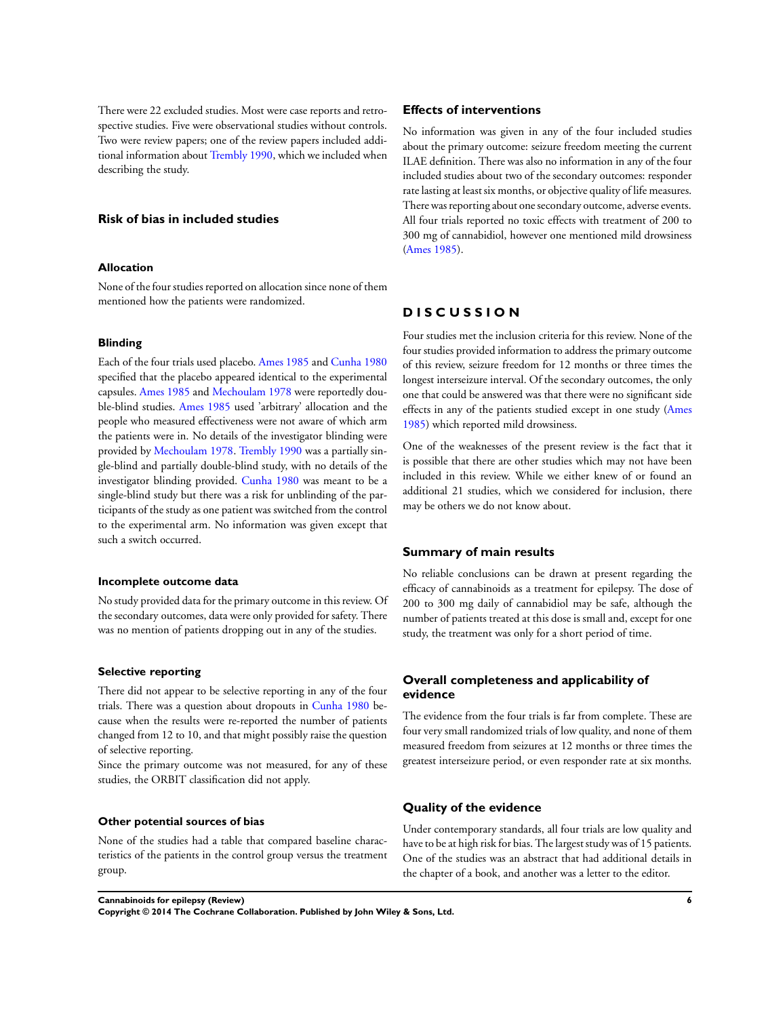There were 22 excluded studies. Most were case reports and retrospective studies. Five were observational studies without controls. Two were review papers; one of the review papers included additional information about [Trembly 1990](#page-8-0), which we included when describing the study.

#### **Risk of bias in included studies**

### **Allocation**

None of the four studies reported on allocation since none of them mentioned how the patients were randomized.

#### **Blinding**

Each of the four trials used placebo. [Ames 1985](#page-8-0) and [Cunha 1980](#page-8-0) specified that the placebo appeared identical to the experimental capsules. [Ames 1985](#page-8-0) and [Mechoulam 1978](#page-8-0) were reportedly double-blind studies. [Ames 1985](#page-8-0) used 'arbitrary' allocation and the people who measured effectiveness were not aware of which arm the patients were in. No details of the investigator blinding were provided by [Mechoulam 1978.](#page-8-0) [Trembly 1990](#page-8-0) was a partially single-blind and partially double-blind study, with no details of the investigator blinding provided. [Cunha 1980](#page-8-0) was meant to be a single-blind study but there was a risk for unblinding of the participants of the study as one patient was switched from the control to the experimental arm. No information was given except that such a switch occurred.

#### **Incomplete outcome data**

No study provided data for the primary outcome in this review. Of the secondary outcomes, data were only provided for safety. There was no mention of patients dropping out in any of the studies.

### **Selective reporting**

There did not appear to be selective reporting in any of the four trials. There was a question about dropouts in [Cunha 1980](#page-8-0) because when the results were re-reported the number of patients changed from 12 to 10, and that might possibly raise the question of selective reporting.

Since the primary outcome was not measured, for any of these studies, the ORBIT classification did not apply.

### **Other potential sources of bias**

None of the studies had a table that compared baseline characteristics of the patients in the control group versus the treatment group.

#### **Effects of interventions**

No information was given in any of the four included studies about the primary outcome: seizure freedom meeting the current ILAE definition. There was also no information in any of the four included studies about two of the secondary outcomes: responder rate lasting at least six months, or objective quality of life measures. There was reporting about one secondary outcome, adverse events. All four trials reported no toxic effects with treatment of 200 to 300 mg of cannabidiol, however one mentioned mild drowsiness [\(Ames 1985](#page-8-0)).

### **D I S C U S S I O N**

Four studies met the inclusion criteria for this review. None of the four studies provided information to address the primary outcome of this review, seizure freedom for 12 months or three times the longest interseizure interval. Of the secondary outcomes, the only one that could be answered was that there were no significant side effects in any of the patients studied except in one study ([Ames](#page-8-0) [1985](#page-8-0)) which reported mild drowsiness.

One of the weaknesses of the present review is the fact that it is possible that there are other studies which may not have been included in this review. While we either knew of or found an additional 21 studies, which we considered for inclusion, there may be others we do not know about.

### **Summary of main results**

No reliable conclusions can be drawn at present regarding the efficacy of cannabinoids as a treatment for epilepsy. The dose of 200 to 300 mg daily of cannabidiol may be safe, although the number of patients treated at this dose is small and, except for one study, the treatment was only for a short period of time.

### **Overall completeness and applicability of evidence**

The evidence from the four trials is far from complete. These are four very small randomized trials of low quality, and none of them measured freedom from seizures at 12 months or three times the greatest interseizure period, or even responder rate at six months.

### **Quality of the evidence**

Under contemporary standards, all four trials are low quality and have to be at high risk for bias. The largest study was of 15 patients. One of the studies was an abstract that had additional details in the chapter of a book, and another was a letter to the editor.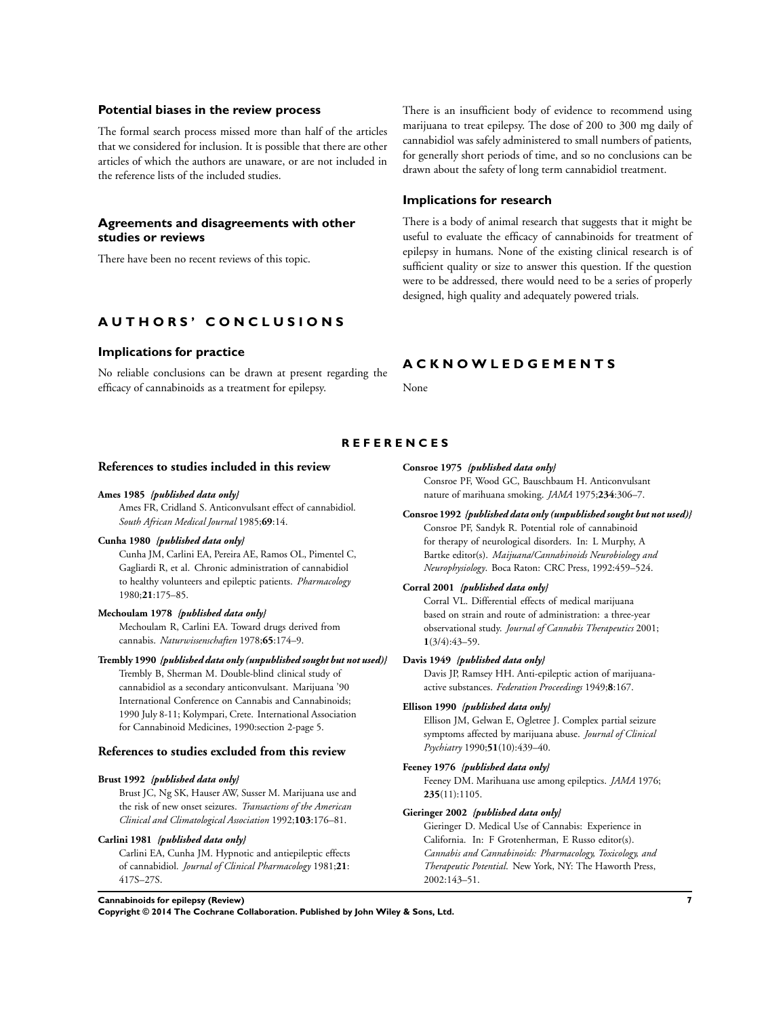#### <span id="page-8-0"></span>**Potential biases in the review process**

The formal search process missed more than half of the articles that we considered for inclusion. It is possible that there are other articles of which the authors are unaware, or are not included in the reference lists of the included studies.

### **Agreements and disagreements with other studies or reviews**

There have been no recent reviews of this topic.

### **A U T H O R S ' C O N C L U S I O N S**

#### **Implications for practice**

No reliable conclusions can be drawn at present regarding the efficacy of cannabinoids as a treatment for epilepsy.

There is an insufficient body of evidence to recommend using marijuana to treat epilepsy. The dose of 200 to 300 mg daily of cannabidiol was safely administered to small numbers of patients, for generally short periods of time, and so no conclusions can be drawn about the safety of long term cannabidiol treatment.

### **Implications for research**

There is a body of animal research that suggests that it might be useful to evaluate the efficacy of cannabinoids for treatment of epilepsy in humans. None of the existing clinical research is of sufficient quality or size to answer this question. If the question were to be addressed, there would need to be a series of properly designed, high quality and adequately powered trials.

### **A C K N O W L E D G E M E N T S**

None

### **R E F E R E N C E S**

#### **References to studies included in this review**

#### **Ames 1985** *{published data only}*

Ames FR, Cridland S. Anticonvulsant effect of cannabidiol. *South African Medical Journal* 1985;**69**:14.

#### **Cunha 1980** *{published data only}*

Cunha JM, Carlini EA, Pereira AE, Ramos OL, Pimentel C, Gagliardi R, et al. Chronic administration of cannabidiol to healthy volunteers and epileptic patients. *Pharmacology* 1980;**21**:175–85.

#### **Mechoulam 1978** *{published data only}*

Mechoulam R, Carlini EA. Toward drugs derived from cannabis. *Naturwissenschaften* 1978;**65**:174–9.

#### **Trembly 1990** *{published data only (unpublished sought but not used)}*

Trembly B, Sherman M. Double-blind clinical study of cannabidiol as a secondary anticonvulsant. Marijuana '90 International Conference on Cannabis and Cannabinoids; 1990 July 8-11; Kolympari, Crete. International Association for Cannabinoid Medicines, 1990:section 2-page 5.

#### **References to studies excluded from this review**

#### **Brust 1992** *{published data only}*

Brust JC, Ng SK, Hauser AW, Susser M. Marijuana use and the risk of new onset seizures. *Transactions of the American Clinical and Climatological Association* 1992;**103**:176–81.

#### **Carlini 1981** *{published data only}*

Carlini EA, Cunha JM. Hypnotic and antiepileptic effects of cannabidiol. *Journal of Clinical Pharmacology* 1981;**21**: 417S–27S.

#### **Consroe 1975** *{published data only}*

Consroe PF, Wood GC, Bauschbaum H. Anticonvulsant nature of marihuana smoking. *JAMA* 1975;**234**:306–7.

# **Consroe 1992** *{published data only (unpublished sought but not used)}*

Consroe PF, Sandyk R. Potential role of cannabinoid for therapy of neurological disorders. In: L Murphy, A Bartke editor(s). *Maijuana/Cannabinoids Neurobiology and Neurophysiology*. Boca Raton: CRC Press, 1992:459–524.

### **Corral 2001** *{published data only}*

Corral VL. Differential effects of medical marijuana based on strain and route of administration: a three-year observational study. *Journal of Cannabis Therapeutics* 2001; **1**(3/4):43–59.

#### **Davis 1949** *{published data only}*

Davis JP, Ramsey HH. Anti-epileptic action of marijuanaactive substances. *Federation Proceedings* 1949;**8**:167.

#### **Ellison 1990** *{published data only}*

Ellison JM, Gelwan E, Ogletree J. Complex partial seizure symptoms affected by marijuana abuse. *Journal of Clinical Psychiatry* 1990;**51**(10):439–40.

#### **Feeney 1976** *{published data only}*

Feeney DM. Marihuana use among epileptics. *JAMA* 1976; **235**(11):1105.

#### **Gieringer 2002** *{published data only}*

Gieringer D. Medical Use of Cannabis: Experience in California. In: F Grotenherman, E Russo editor(s). *Cannabis and Cannabinoids: Pharmacology, Toxicology, and Therapeutic Potential*. New York, NY: The Haworth Press, 2002:143–51.

**Cannabinoids for epilepsy (Review) 7**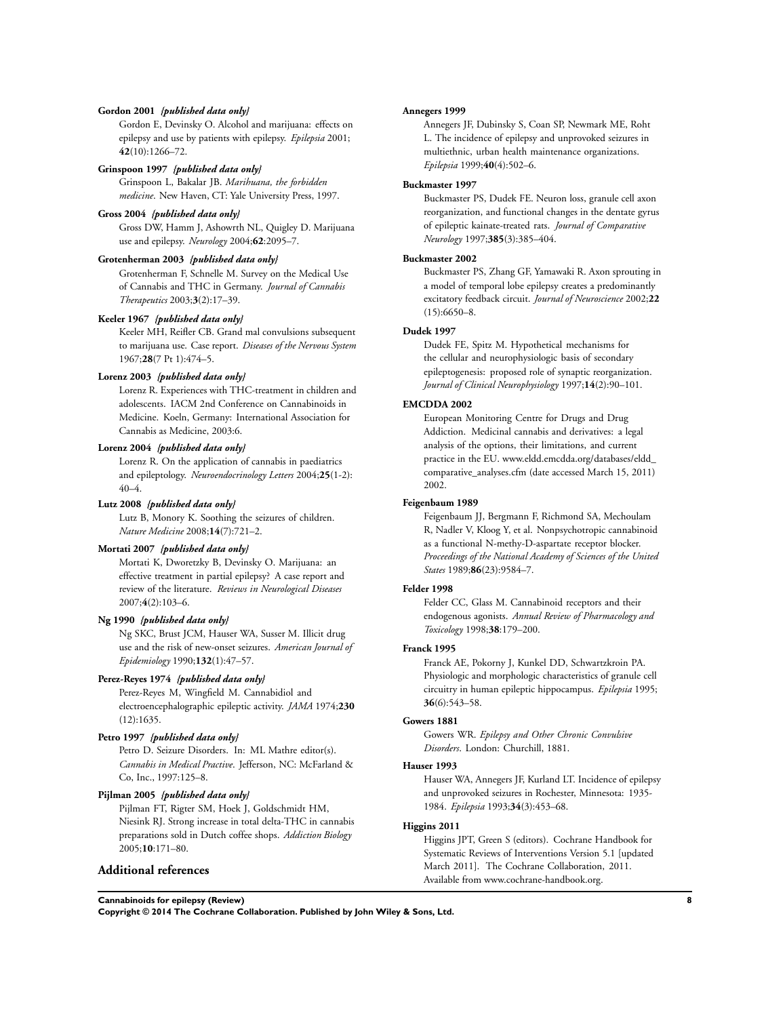#### **Gordon 2001** *{published data only}*

Gordon E, Devinsky O. Alcohol and marijuana: effects on epilepsy and use by patients with epilepsy. *Epilepsia* 2001; **42**(10):1266–72.

#### **Grinspoon 1997** *{published data only}*

Grinspoon L, Bakalar JB. *Marihuana, the forbidden medicine*. New Haven, CT: Yale University Press, 1997.

#### **Gross 2004** *{published data only}*

Gross DW, Hamm J, Ashowrth NL, Quigley D. Marijuana use and epilepsy. *Neurology* 2004;**62**:2095–7.

#### **Grotenherman 2003** *{published data only}*

Grotenherman F, Schnelle M. Survey on the Medical Use of Cannabis and THC in Germany. *Journal of Cannabis Therapeutics* 2003;**3**(2):17–39.

#### **Keeler 1967** *{published data only}*

Keeler MH, Reifler CB. Grand mal convulsions subsequent to marijuana use. Case report. *Diseases of the Nervous System* 1967;**28**(7 Pt 1):474–5.

### **Lorenz 2003** *{published data only}*

Lorenz R. Experiences with THC-treatment in children and adolescents. IACM 2nd Conference on Cannabinoids in Medicine. Koeln, Germany: International Association for Cannabis as Medicine, 2003:6.

#### **Lorenz 2004** *{published data only}*

Lorenz R. On the application of cannabis in paediatrics and epileptology. *Neuroendocrinology Letters* 2004;**25**(1-2): 40–4.

#### **Lutz 2008** *{published data only}*

Lutz B, Monory K. Soothing the seizures of children. *Nature Medicine* 2008;**14**(7):721–2.

#### **Mortati 2007** *{published data only}*

Mortati K, Dworetzky B, Devinsky O. Marijuana: an effective treatment in partial epilepsy? A case report and review of the literature. *Reviews in Neurological Diseases* 2007;**4**(2):103–6.

#### **Ng 1990** *{published data only}*

Ng SKC, Brust JCM, Hauser WA, Susser M. Illicit drug use and the risk of new-onset seizures. *American Journal of Epidemiology* 1990;**132**(1):47–57.

#### **Perez-Reyes 1974** *{published data only}*

Perez-Reyes M, Wingfield M. Cannabidiol and electroencephalographic epileptic activity. *JAMA* 1974;**230** (12):1635.

### **Petro 1997** *{published data only}*

Petro D. Seizure Disorders. In: ML Mathre editor(s). *Cannabis in Medical Practive*. Jefferson, NC: McFarland & Co, Inc., 1997:125–8.

#### **Pijlman 2005** *{published data only}*

Pijlman FT, Rigter SM, Hoek J, Goldschmidt HM, Niesink RJ. Strong increase in total delta-THC in cannabis preparations sold in Dutch coffee shops. *Addiction Biology* 2005;**10**:171–80.

### **Additional references**

#### **Annegers 1999**

Annegers JF, Dubinsky S, Coan SP, Newmark ME, Roht L. The incidence of epilepsy and unprovoked seizures in multiethnic, urban health maintenance organizations. *Epilepsia* 1999;**40**(4):502–6.

#### **Buckmaster 1997**

Buckmaster PS, Dudek FE. Neuron loss, granule cell axon reorganization, and functional changes in the dentate gyrus of epileptic kainate-treated rats. *Journal of Comparative Neurology* 1997;**385**(3):385–404.

#### **Buckmaster 2002**

Buckmaster PS, Zhang GF, Yamawaki R. Axon sprouting in a model of temporal lobe epilepsy creates a predominantly excitatory feedback circuit. *Journal of Neuroscience* 2002;**22**  $(15):6650-8.$ 

#### **Dudek 1997**

Dudek FE, Spitz M. Hypothetical mechanisms for the cellular and neurophysiologic basis of secondary epileptogenesis: proposed role of synaptic reorganization. *Journal of Clinical Neurophysiology* 1997;**14**(2):90–101.

#### **EMCDDA 2002**

European Monitoring Centre for Drugs and Drug Addiction. Medicinal cannabis and derivatives: a legal analysis of the options, their limitations, and current practice in the EU. www.eldd.emcdda.org/databases/eldd\_ comparative\_analyses.cfm (date accessed March 15, 2011) 2002.

#### **Feigenbaum 1989**

Feigenbaum JJ, Bergmann F, Richmond SA, Mechoulam R, Nadler V, Kloog Y, et al. Nonpsychotropic cannabinoid as a functional N-methy-D-aspartate receptor blocker. *Proceedings of the National Academy of Sciences of the United States* 1989;**86**(23):9584–7.

#### **Felder 1998**

Felder CC, Glass M. Cannabinoid receptors and their endogenous agonists. *Annual Review of Pharmacology and Toxicology* 1998;**38**:179–200.

#### **Franck 1995**

Franck AE, Pokorny J, Kunkel DD, Schwartzkroin PA. Physiologic and morphologic characteristics of granule cell circuitry in human epileptic hippocampus. *Epilepsia* 1995; **36**(6):543–58.

#### **Gowers 1881**

Gowers WR. *Epilepsy and Other Chronic Convulsive Disorders*. London: Churchill, 1881.

#### **Hauser 1993**

Hauser WA, Annegers JF, Kurland LT. Incidence of epilepsy and unprovoked seizures in Rochester, Minnesota: 1935- 1984. *Epilepsia* 1993;**34**(3):453–68.

#### **Higgins 2011**

Higgins JPT, Green S (editors). Cochrane Handbook for Systematic Reviews of Interventions Version 5.1 [updated March 2011]. The Cochrane Collaboration, 2011. Available from www.cochrane-handbook.org.

#### **Cannabinoids for epilepsy (Review) 8**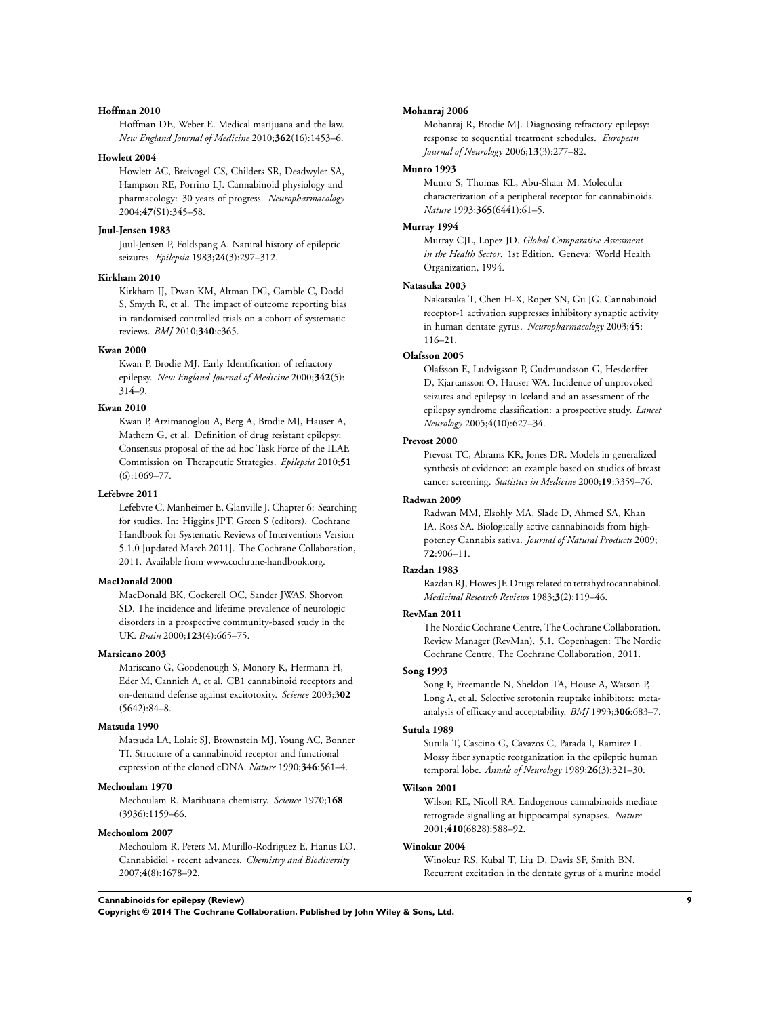#### **Hoffman 2010**

Hoffman DE, Weber E. Medical marijuana and the law. *New England Journal of Medicine* 2010;**362**(16):1453–6.

#### **Howlett 2004**

Howlett AC, Breivogel CS, Childers SR, Deadwyler SA, Hampson RE, Porrino LJ. Cannabinoid physiology and pharmacology: 30 years of progress. *Neuropharmacology* 2004;**47**(S1):345–58.

### **Juul-Jensen 1983**

Juul-Jensen P, Foldspang A. Natural history of epileptic seizures. *Epilepsia* 1983;**24**(3):297–312.

#### **Kirkham 2010**

Kirkham JJ, Dwan KM, Altman DG, Gamble C, Dodd S, Smyth R, et al. The impact of outcome reporting bias in randomised controlled trials on a cohort of systematic reviews. *BMJ* 2010;**340**:c365.

#### **Kwan 2000**

Kwan P, Brodie MJ. Early Identification of refractory epilepsy. *New England Journal of Medicine* 2000;**342**(5): 314–9.

#### **Kwan 2010**

Kwan P, Arzimanoglou A, Berg A, Brodie MJ, Hauser A, Mathern G, et al. Definition of drug resistant epilepsy: Consensus proposal of the ad hoc Task Force of the ILAE Commission on Therapeutic Strategies. *Epilepsia* 2010;**51** (6):1069–77.

#### **Lefebvre 2011**

Lefebvre C, Manheimer E, Glanville J. Chapter 6: Searching for studies. In: Higgins JPT, Green S (editors). Cochrane Handbook for Systematic Reviews of Interventions Version 5.1.0 [updated March 2011]. The Cochrane Collaboration, 2011. Available from www.cochrane-handbook.org.

#### **MacDonald 2000**

MacDonald BK, Cockerell OC, Sander JWAS, Shorvon SD. The incidence and lifetime prevalence of neurologic disorders in a prospective community-based study in the UK. *Brain* 2000;**123**(4):665–75.

#### **Marsicano 2003**

Mariscano G, Goodenough S, Monory K, Hermann H, Eder M, Cannich A, et al. CB1 cannabinoid receptors and on-demand defense against excitotoxity. *Science* 2003;**302** (5642):84–8.

#### **Matsuda 1990**

Matsuda LA, Lolait SJ, Brownstein MJ, Young AC, Bonner TI. Structure of a cannabinoid receptor and functional expression of the cloned cDNA. *Nature* 1990;**346**:561–4.

#### **Mechoulam 1970**

Mechoulam R. Marihuana chemistry. *Science* 1970;**168** (3936):1159–66.

#### **Mechoulom 2007**

Mechoulom R, Peters M, Murillo-Rodriguez E, Hanus LO. Cannabidiol - recent advances. *Chemistry and Biodiversity* 2007;**4**(8):1678–92.

#### **Mohanraj 2006**

Mohanraj R, Brodie MJ. Diagnosing refractory epilepsy: response to sequential treatment schedules. *European Journal of Neurology* 2006;**13**(3):277–82.

#### **Munro 1993**

Munro S, Thomas KL, Abu-Shaar M. Molecular characterization of a peripheral receptor for cannabinoids. *Nature* 1993;**365**(6441):61–5.

#### **Murray 1994**

Murray CJL, Lopez JD. *Global Comparative Assessment in the Health Sector*. 1st Edition. Geneva: World Health Organization, 1994.

#### **Natasuka 2003**

Nakatsuka T, Chen H-X, Roper SN, Gu JG. Cannabinoid receptor-1 activation suppresses inhibitory synaptic activity in human dentate gyrus. *Neuropharmacology* 2003;**45**: 116–21.

#### **Olafsson 2005**

Olafsson E, Ludvigsson P, Gudmundsson G, Hesdorffer D, Kjartansson O, Hauser WA. Incidence of unprovoked seizures and epilepsy in Iceland and an assessment of the epilepsy syndrome classification: a prospective study. *Lancet Neurology* 2005;**4**(10):627–34.

### **Prevost 2000**

Prevost TC, Abrams KR, Jones DR. Models in generalized synthesis of evidence: an example based on studies of breast cancer screening. *Statistics in Medicine* 2000;**19**:3359–76.

#### **Radwan 2009**

Radwan MM, Elsohly MA, Slade D, Ahmed SA, Khan IA, Ross SA. Biologically active cannabinoids from highpotency Cannabis sativa. *Journal of Natural Products* 2009; **72**:906–11.

#### **Razdan 1983**

Razdan RJ, Howes JF. Drugs related to tetrahydrocannabinol. *Medicinal Research Reviews* 1983;**3**(2):119–46.

#### **RevMan 2011**

The Nordic Cochrane Centre, The Cochrane Collaboration. Review Manager (RevMan). 5.1. Copenhagen: The Nordic Cochrane Centre, The Cochrane Collaboration, 2011.

#### **Song 1993**

Song F, Freemantle N, Sheldon TA, House A, Watson P, Long A, et al. Selective serotonin reuptake inhibitors: metaanalysis of efficacy and acceptability. *BMJ* 1993;**306**:683–7.

#### **Sutula 1989**

Sutula T, Cascino G, Cavazos C, Parada I, Ramirez L. Mossy fiber synaptic reorganization in the epileptic human temporal lobe. *Annals of Neurology* 1989;**26**(3):321–30.

#### **Wilson 2001**

Wilson RE, Nicoll RA. Endogenous cannabinoids mediate retrograde signalling at hippocampal synapses. *Nature* 2001;**410**(6828):588–92.

#### **Winokur 2004**

Winokur RS, Kubal T, Liu D, Davis SF, Smith BN. Recurrent excitation in the dentate gyrus of a murine model

**Cannabinoids for epilepsy (Review) 9**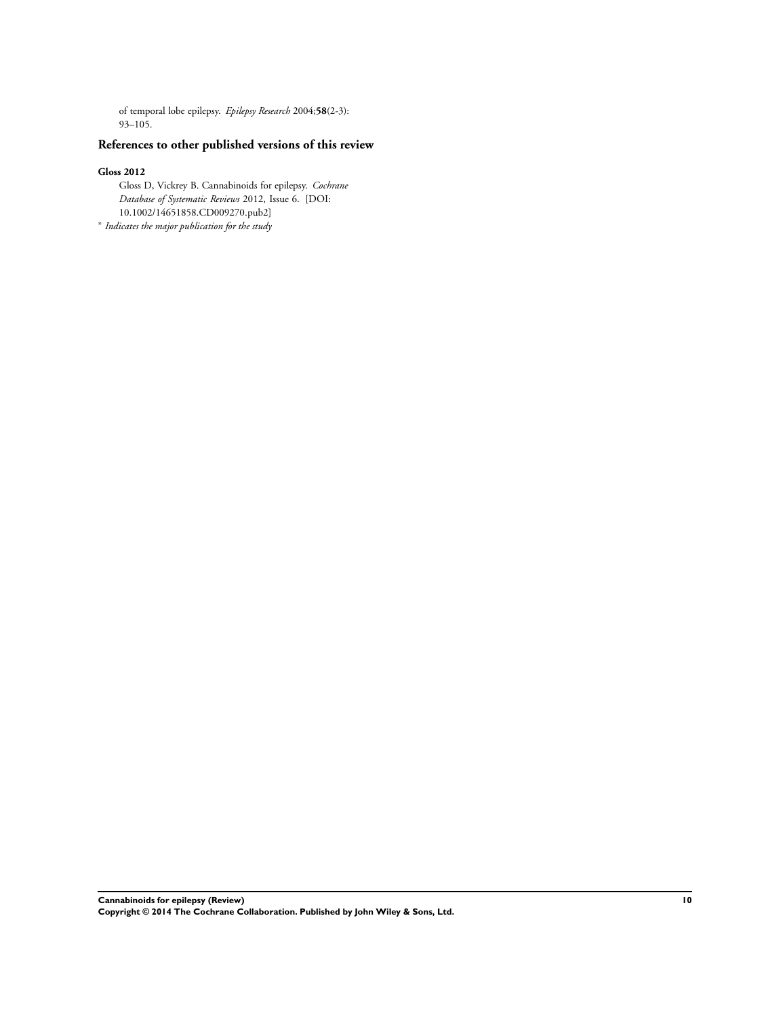of temporal lobe epilepsy. *Epilepsy Research* 2004;**58**(2-3): 93–105.

## **References to other published versions of this review**

### **Gloss 2012**

Gloss D, Vickrey B. Cannabinoids for epilepsy. *Cochrane Database of Systematic Reviews* 2012, Issue 6. [DOI: 10.1002/14651858.CD009270.pub2]

∗ *Indicates the major publication for the study*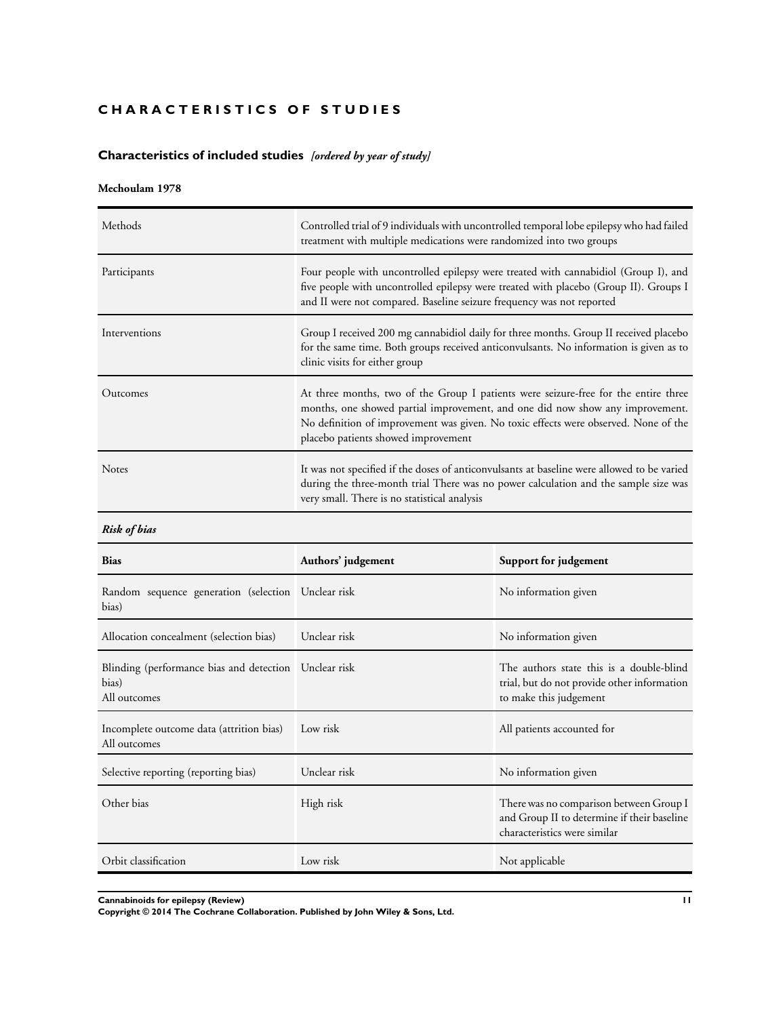# <span id="page-12-0"></span>**CHARACTERISTICS OF STUDIES**

# **Characteristics of included studies** *[ordered by year of study]*

### **Mechoulam 1978**

| Methods       | Controlled trial of 9 individuals with uncontrolled temporal lobe epilepsy who had failed<br>treatment with multiple medications were randomized into two groups                                                                                                                                   |
|---------------|----------------------------------------------------------------------------------------------------------------------------------------------------------------------------------------------------------------------------------------------------------------------------------------------------|
| Participants  | Four people with uncontrolled epilepsy were treated with cannabidiol (Group I), and<br>five people with uncontrolled epilepsy were treated with placebo (Group II). Groups I<br>and II were not compared. Baseline seizure frequency was not reported                                              |
| Interventions | Group I received 200 mg cannabidiol daily for three months. Group II received placebo<br>for the same time. Both groups received anticonvulsants. No information is given as to<br>clinic visits for either group                                                                                  |
| Outcomes      | At three months, two of the Group I patients were seizure-free for the entire three<br>months, one showed partial improvement, and one did now show any improvement.<br>No definition of improvement was given. No toxic effects were observed. None of the<br>placebo patients showed improvement |
| <b>Notes</b>  | It was not specified if the doses of anticonvulsants at baseline were allowed to be varied<br>during the three-month trial There was no power calculation and the sample size was<br>very small. There is no statistical analysis                                                                  |

### *Risk of bias*

| <b>Bias</b>                                                                    | Authors' judgement | Support for judgement                                                                                                  |
|--------------------------------------------------------------------------------|--------------------|------------------------------------------------------------------------------------------------------------------------|
| Random sequence generation (selection Unclear risk<br>bias)                    |                    | No information given                                                                                                   |
| Allocation concealment (selection bias)                                        | Unclear risk       | No information given                                                                                                   |
| Blinding (performance bias and detection Unclear risk<br>bias)<br>All outcomes |                    | The authors state this is a double-blind<br>trial, but do not provide other information<br>to make this judgement      |
| Incomplete outcome data (attrition bias)<br>All outcomes                       | Low risk           | All patients accounted for                                                                                             |
| Selective reporting (reporting bias)                                           | Unclear risk       | No information given                                                                                                   |
| Other bias                                                                     | High risk          | There was no comparison between Group I<br>and Group II to determine if their baseline<br>characteristics were similar |
| Orbit classification                                                           | Low risk           | Not applicable                                                                                                         |

**Cannabinoids for epilepsy (Review) 11**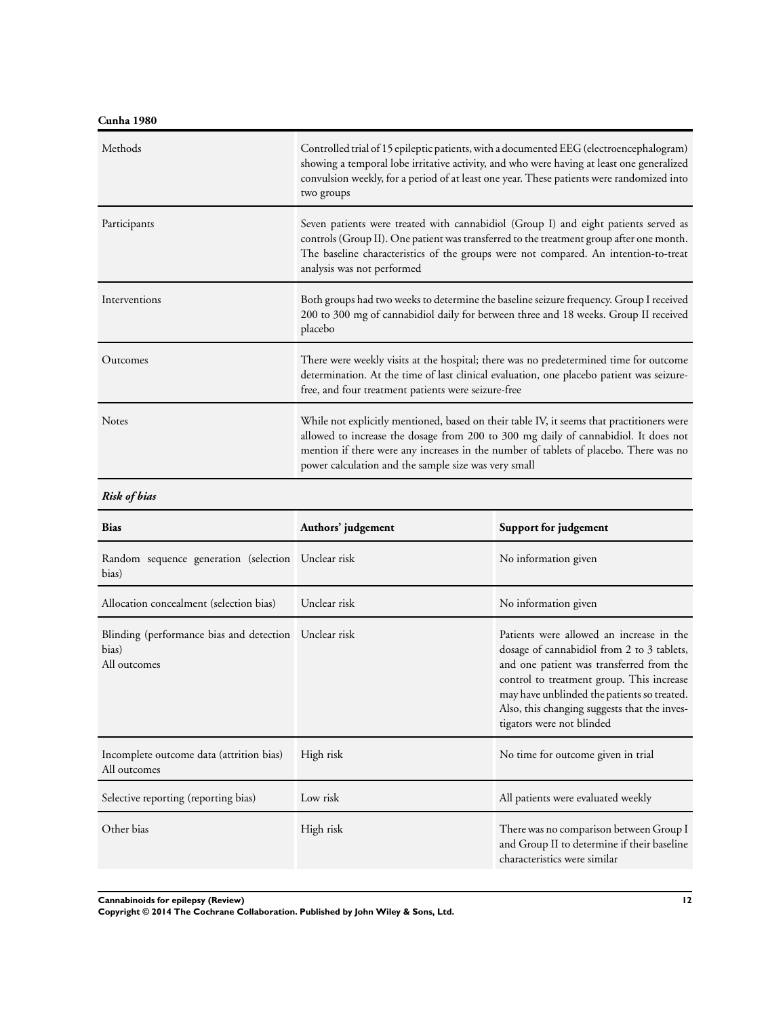**Cunha 1980**

| Methods       | Controlled trial of 15 epileptic patients, with a documented EEG (electroencephalogram)<br>showing a temporal lobe irritative activity, and who were having at least one generalized<br>convulsion weekly, for a period of at least one year. These patients were randomized into<br>two groups                                   |
|---------------|-----------------------------------------------------------------------------------------------------------------------------------------------------------------------------------------------------------------------------------------------------------------------------------------------------------------------------------|
| Participants  | Seven patients were treated with cannabidiol (Group I) and eight patients served as<br>controls (Group II). One patient was transferred to the treatment group after one month.<br>The baseline characteristics of the groups were not compared. An intention-to-treat<br>analysis was not performed                              |
| Interventions | Both groups had two weeks to determine the baseline seizure frequency. Group I received<br>200 to 300 mg of cannabidiol daily for between three and 18 weeks. Group II received<br>placebo                                                                                                                                        |
| Outcomes      | There were weekly visits at the hospital; there was no predetermined time for outcome<br>determination. At the time of last clinical evaluation, one placebo patient was seizure-<br>free, and four treatment patients were seizure-free                                                                                          |
| <b>Notes</b>  | While not explicitly mentioned, based on their table IV, it seems that practitioners were<br>allowed to increase the dosage from 200 to 300 mg daily of cannabidiol. It does not<br>mention if there were any increases in the number of tablets of placebo. There was no<br>power calculation and the sample size was very small |

## *Risk of bias*

| <b>Bias</b>                                                                    | Authors' judgement | Support for judgement                                                                                                                                                                                                                                                                                       |
|--------------------------------------------------------------------------------|--------------------|-------------------------------------------------------------------------------------------------------------------------------------------------------------------------------------------------------------------------------------------------------------------------------------------------------------|
| Random sequence generation (selection Unclear risk<br>bias)                    |                    | No information given                                                                                                                                                                                                                                                                                        |
| Allocation concealment (selection bias)                                        | Unclear risk       | No information given                                                                                                                                                                                                                                                                                        |
| Blinding (performance bias and detection Unclear risk<br>bias)<br>All outcomes |                    | Patients were allowed an increase in the<br>dosage of cannabidiol from 2 to 3 tablets,<br>and one patient was transferred from the<br>control to treatment group. This increase<br>may have unblinded the patients so treated.<br>Also, this changing suggests that the inves-<br>tigators were not blinded |
| Incomplete outcome data (attrition bias)<br>All outcomes                       | High risk          | No time for outcome given in trial                                                                                                                                                                                                                                                                          |
| Selective reporting (reporting bias)                                           | Low risk           | All patients were evaluated weekly                                                                                                                                                                                                                                                                          |
| Other bias                                                                     | High risk          | There was no comparison between Group I<br>and Group II to determine if their baseline<br>characteristics were similar                                                                                                                                                                                      |

**Cannabinoids for epilepsy (Review) 12**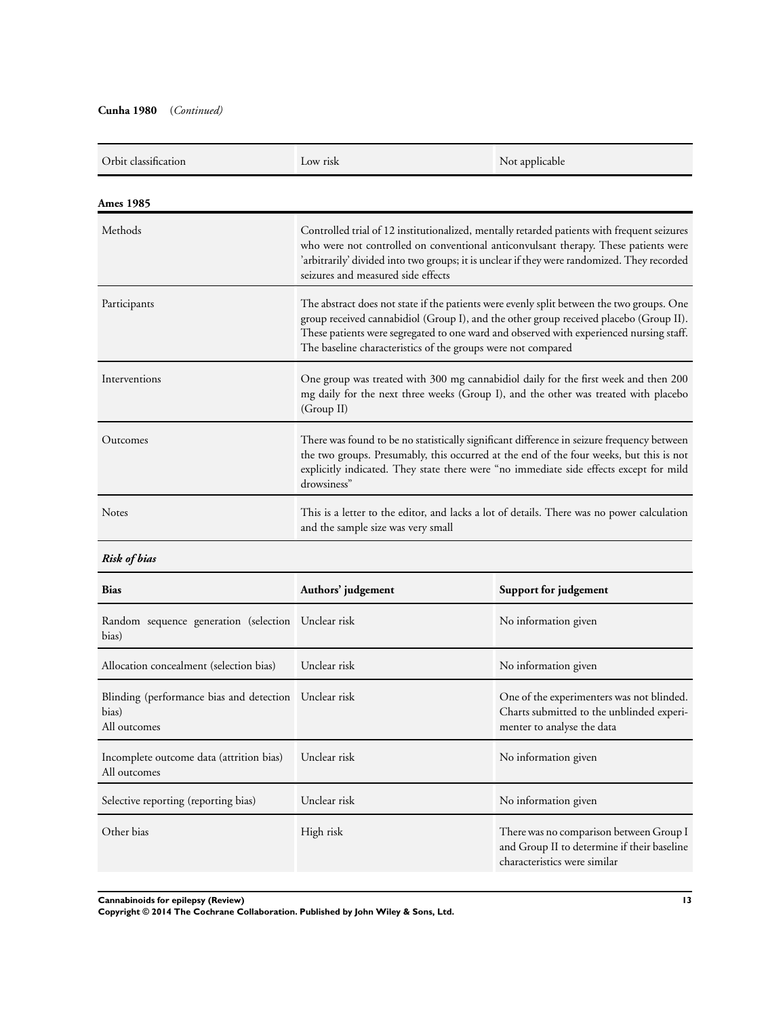### **Cunha 1980** (*Continued)*

| Orbit classification | Low risk                                                                                                                                                                                                                                                                                                                                       | Not applicable                                                                                                                                                                                                                                                                  |
|----------------------|------------------------------------------------------------------------------------------------------------------------------------------------------------------------------------------------------------------------------------------------------------------------------------------------------------------------------------------------|---------------------------------------------------------------------------------------------------------------------------------------------------------------------------------------------------------------------------------------------------------------------------------|
| <b>Ames 1985</b>     |                                                                                                                                                                                                                                                                                                                                                |                                                                                                                                                                                                                                                                                 |
| Methods              | Controlled trial of 12 institutionalized, mentally retarded patients with frequent seizures<br>who were not controlled on conventional anticonvulsant therapy. These patients were<br>'arbitrarily' divided into two groups; it is unclear if they were randomized. They recorded<br>seizures and measured side effects                        |                                                                                                                                                                                                                                                                                 |
| Participants         | The abstract does not state if the patients were evenly split between the two groups. One<br>group received cannabidiol (Group I), and the other group received placebo (Group II).<br>These patients were segregated to one ward and observed with experienced nursing staff.<br>The baseline characteristics of the groups were not compared |                                                                                                                                                                                                                                                                                 |
| Interventions        | One group was treated with 300 mg cannabidiol daily for the first week and then 200<br>mg daily for the next three weeks (Group I), and the other was treated with placebo<br>(Group II)                                                                                                                                                       |                                                                                                                                                                                                                                                                                 |
| Outcomes             | drowsiness"                                                                                                                                                                                                                                                                                                                                    | There was found to be no statistically significant difference in seizure frequency between<br>the two groups. Presumably, this occurred at the end of the four weeks, but this is not<br>explicitly indicated. They state there were "no immediate side effects except for mild |
| <b>Notes</b>         | and the sample size was very small                                                                                                                                                                                                                                                                                                             | This is a letter to the editor, and lacks a lot of details. There was no power calculation                                                                                                                                                                                      |

# *Risk of bias*

| <b>Bias</b>                                                                    | Authors' judgement | Support for judgement                                                                                                  |
|--------------------------------------------------------------------------------|--------------------|------------------------------------------------------------------------------------------------------------------------|
| Random sequence generation (selection Unclear risk<br>bias)                    |                    | No information given                                                                                                   |
| Allocation concealment (selection bias)                                        | Unclear risk       | No information given                                                                                                   |
| Blinding (performance bias and detection Unclear risk<br>bias)<br>All outcomes |                    | One of the experimenters was not blinded.<br>Charts submitted to the unblinded experi-<br>menter to analyse the data   |
| Incomplete outcome data (attrition bias)<br>All outcomes                       | Unclear risk       | No information given                                                                                                   |
| Selective reporting (reporting bias)                                           | Unclear risk       | No information given                                                                                                   |
| Other bias                                                                     | High risk          | There was no comparison between Group I<br>and Group II to determine if their baseline<br>characteristics were similar |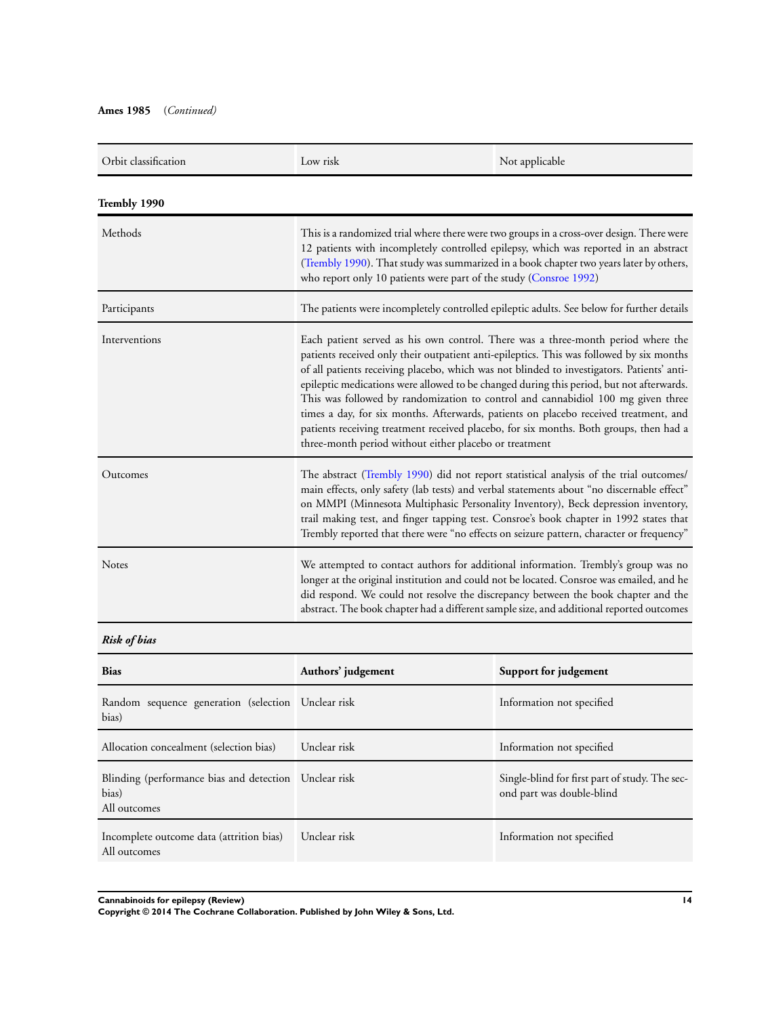### **Ames 1985** (*Continued)*

| Orbit classification | Low risk                                                                                                                                                                                                                                                                                                                                         | Not applicable                                                                                                                                                                                                                                                                                                                                           |
|----------------------|--------------------------------------------------------------------------------------------------------------------------------------------------------------------------------------------------------------------------------------------------------------------------------------------------------------------------------------------------|----------------------------------------------------------------------------------------------------------------------------------------------------------------------------------------------------------------------------------------------------------------------------------------------------------------------------------------------------------|
| Trembly 1990         |                                                                                                                                                                                                                                                                                                                                                  |                                                                                                                                                                                                                                                                                                                                                          |
| Methods              | This is a randomized trial where there were two groups in a cross-over design. There were<br>12 patients with incompletely controlled epilepsy, which was reported in an abstract<br>(Trembly 1990). That study was summarized in a book chapter two years later by others,<br>who report only 10 patients were part of the study (Consroe 1992) |                                                                                                                                                                                                                                                                                                                                                          |
| Participants         | The patients were incompletely controlled epileptic adults. See below for further details                                                                                                                                                                                                                                                        |                                                                                                                                                                                                                                                                                                                                                          |
| Interventions        | of all patients receiving placebo, which was not blinded to investigators. Patients' anti-<br>epileptic medications were allowed to be changed during this period, but not afterwards.<br>patients receiving treatment received placebo, for six months. Both groups, then had a<br>three-month period without either placebo or treatment       | Each patient served as his own control. There was a three-month period where the<br>patients received only their outpatient anti-epileptics. This was followed by six months<br>This was followed by randomization to control and cannabidiol 100 mg given three<br>times a day, for six months. Afterwards, patients on placebo received treatment, and |
| Outcomes             | The abstract (Trembly 1990) did not report statistical analysis of the trial outcomes/<br>main effects, only safety (lab tests) and verbal statements about "no discernable effect"<br>on MMPI (Minnesota Multiphasic Personality Inventory), Beck depression inventory,                                                                         | trail making test, and finger tapping test. Consroe's book chapter in 1992 states that<br>Trembly reported that there were "no effects on seizure pattern, character or frequency"                                                                                                                                                                       |
| <b>Notes</b>         | We attempted to contact authors for additional information. Trembly's group was no<br>abstract. The book chapter had a different sample size, and additional reported outcomes                                                                                                                                                                   | longer at the original institution and could not be located. Consroe was emailed, and he<br>did respond. We could not resolve the discrepancy between the book chapter and the                                                                                                                                                                           |

*Risk of bias*

| <b>Bias</b>                                                                    | Authors' judgement | Support for judgement                                                       |
|--------------------------------------------------------------------------------|--------------------|-----------------------------------------------------------------------------|
| Random sequence generation (selection Unclear risk<br>bias)                    |                    | Information not specified                                                   |
| Allocation concealment (selection bias)                                        | Unclear risk       | Information not specified                                                   |
| Blinding (performance bias and detection Unclear risk<br>bias)<br>All outcomes |                    | Single-blind for first part of study. The sec-<br>ond part was double-blind |
| Incomplete outcome data (attrition bias)<br>All outcomes                       | Unclear risk       | Information not specified                                                   |

**Cannabinoids for epilepsy (Review) 14**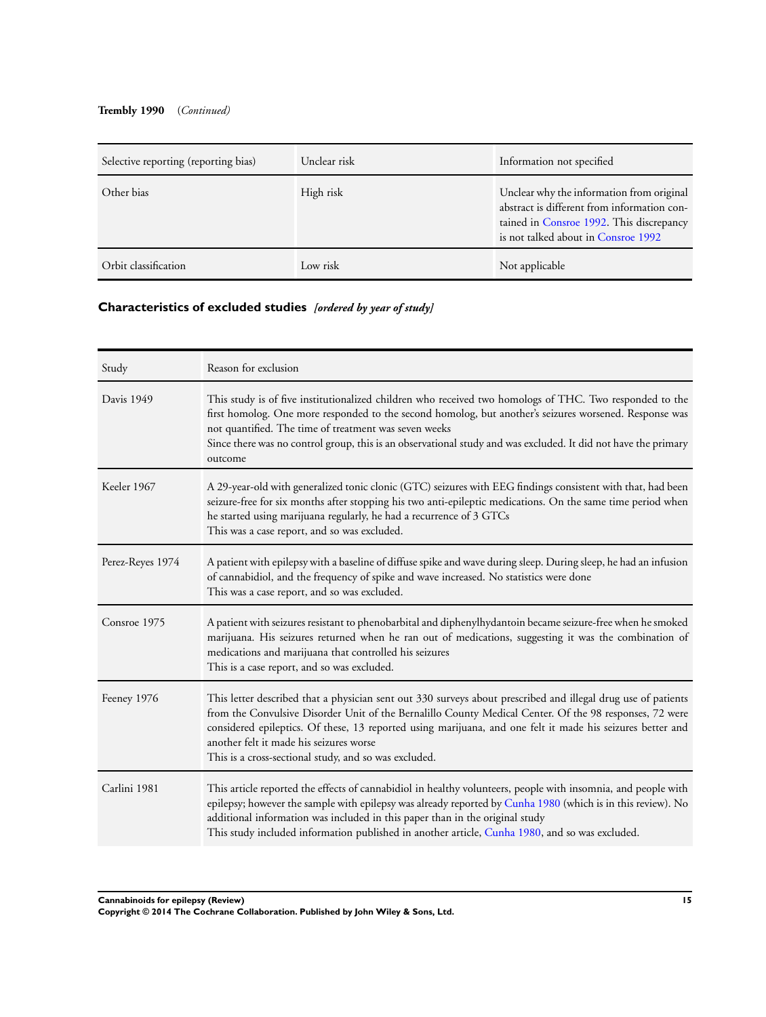### <span id="page-16-0"></span>**Trembly 1990** (*Continued)*

| Selective reporting (reporting bias) | Unclear risk | Information not specified                                                                                                                                                   |
|--------------------------------------|--------------|-----------------------------------------------------------------------------------------------------------------------------------------------------------------------------|
| Other bias                           | High risk    | Unclear why the information from original<br>abstract is different from information con-<br>tained in Consroe 1992. This discrepancy<br>is not talked about in Consroe 1992 |
| Orbit classification                 | Low risk     | Not applicable                                                                                                                                                              |

# **Characteristics of excluded studies** *[ordered by year of study]*

| Study            | Reason for exclusion                                                                                                                                                                                                                                                                                                                                                                                                                       |
|------------------|--------------------------------------------------------------------------------------------------------------------------------------------------------------------------------------------------------------------------------------------------------------------------------------------------------------------------------------------------------------------------------------------------------------------------------------------|
| Davis 1949       | This study is of five institutionalized children who received two homologs of THC. Two responded to the<br>first homolog. One more responded to the second homolog, but another's seizures worsened. Response was<br>not quantified. The time of treatment was seven weeks<br>Since there was no control group, this is an observational study and was excluded. It did not have the primary<br>outcome                                    |
| Keeler 1967      | A 29-year-old with generalized tonic clonic (GTC) seizures with EEG findings consistent with that, had been<br>seizure-free for six months after stopping his two anti-epileptic medications. On the same time period when<br>he started using marijuana regularly, he had a recurrence of 3 GTCs<br>This was a case report, and so was excluded.                                                                                          |
| Perez-Reyes 1974 | A patient with epilepsy with a baseline of diffuse spike and wave during sleep. During sleep, he had an infusion<br>of cannabidiol, and the frequency of spike and wave increased. No statistics were done<br>This was a case report, and so was excluded.                                                                                                                                                                                 |
| Consroe 1975     | A patient with seizures resistant to phenobarbital and diphenylhydantoin became seizure-free when he smoked<br>marijuana. His seizures returned when he ran out of medications, suggesting it was the combination of<br>medications and marijuana that controlled his seizures<br>This is a case report, and so was excluded.                                                                                                              |
| Feeney 1976      | This letter described that a physician sent out 330 surveys about prescribed and illegal drug use of patients<br>from the Convulsive Disorder Unit of the Bernalillo County Medical Center. Of the 98 responses, 72 were<br>considered epileptics. Of these, 13 reported using marijuana, and one felt it made his seizures better and<br>another felt it made his seizures worse<br>This is a cross-sectional study, and so was excluded. |
| Carlini 1981     | This article reported the effects of cannabidiol in healthy volunteers, people with insomnia, and people with<br>epilepsy; however the sample with epilepsy was already reported by Cunha 1980 (which is in this review). No<br>additional information was included in this paper than in the original study<br>This study included information published in another article, Cunha 1980, and so was excluded.                             |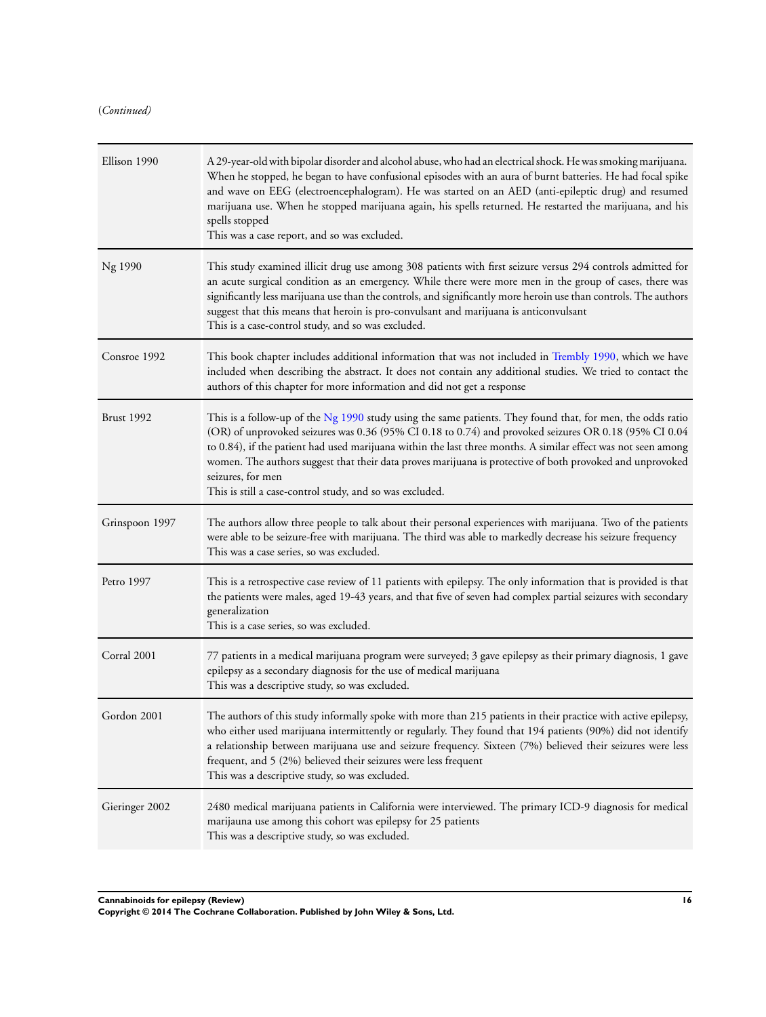(*Continued)*

| Ellison 1990      | A 29-year-old with bipolar disorder and alcohol abuse, who had an electrical shock. He was smoking marijuana.<br>When he stopped, he began to have confusional episodes with an aura of burnt batteries. He had focal spike<br>and wave on EEG (electroencephalogram). He was started on an AED (anti-epileptic drug) and resumed<br>marijuana use. When he stopped marijuana again, his spells returned. He restarted the marijuana, and his<br>spells stopped<br>This was a case report, and so was excluded.                    |
|-------------------|------------------------------------------------------------------------------------------------------------------------------------------------------------------------------------------------------------------------------------------------------------------------------------------------------------------------------------------------------------------------------------------------------------------------------------------------------------------------------------------------------------------------------------|
| Ng 1990           | This study examined illicit drug use among 308 patients with first seizure versus 294 controls admitted for<br>an acute surgical condition as an emergency. While there were more men in the group of cases, there was<br>significantly less marijuana use than the controls, and significantly more heroin use than controls. The authors<br>suggest that this means that heroin is pro-convulsant and marijuana is anticonvulsant<br>This is a case-control study, and so was excluded.                                          |
| Consroe 1992      | This book chapter includes additional information that was not included in Trembly 1990, which we have<br>included when describing the abstract. It does not contain any additional studies. We tried to contact the<br>authors of this chapter for more information and did not get a response                                                                                                                                                                                                                                    |
| <b>Brust 1992</b> | This is a follow-up of the Ng 1990 study using the same patients. They found that, for men, the odds ratio<br>(OR) of unprovoked seizures was 0.36 (95% CI 0.18 to 0.74) and provoked seizures OR 0.18 (95% CI 0.04<br>to 0.84), if the patient had used marijuana within the last three months. A similar effect was not seen among<br>women. The authors suggest that their data proves marijuana is protective of both provoked and unprovoked<br>seizures, for men<br>This is still a case-control study, and so was excluded. |
| Grinspoon 1997    | The authors allow three people to talk about their personal experiences with marijuana. Two of the patients<br>were able to be seizure-free with marijuana. The third was able to markedly decrease his seizure frequency<br>This was a case series, so was excluded.                                                                                                                                                                                                                                                              |
| Petro 1997        | This is a retrospective case review of 11 patients with epilepsy. The only information that is provided is that<br>the patients were males, aged 19-43 years, and that five of seven had complex partial seizures with secondary<br>generalization<br>This is a case series, so was excluded.                                                                                                                                                                                                                                      |
| Corral 2001       | 77 patients in a medical marijuana program were surveyed; 3 gave epilepsy as their primary diagnosis, 1 gave<br>epilepsy as a secondary diagnosis for the use of medical marijuana<br>This was a descriptive study, so was excluded.                                                                                                                                                                                                                                                                                               |
| Gordon 2001       | The authors of this study informally spoke with more than 215 patients in their practice with active epilepsy,<br>who either used marijuana intermittently or regularly. They found that 194 patients (90%) did not identify<br>a relationship between marijuana use and seizure frequency. Sixteen (7%) believed their seizures were less<br>frequent, and 5 (2%) believed their seizures were less frequent<br>This was a descriptive study, so was excluded.                                                                    |
| Gieringer 2002    | 2480 medical marijuana patients in California were interviewed. The primary ICD-9 diagnosis for medical<br>marijauna use among this cohort was epilepsy for 25 patients<br>This was a descriptive study, so was excluded.                                                                                                                                                                                                                                                                                                          |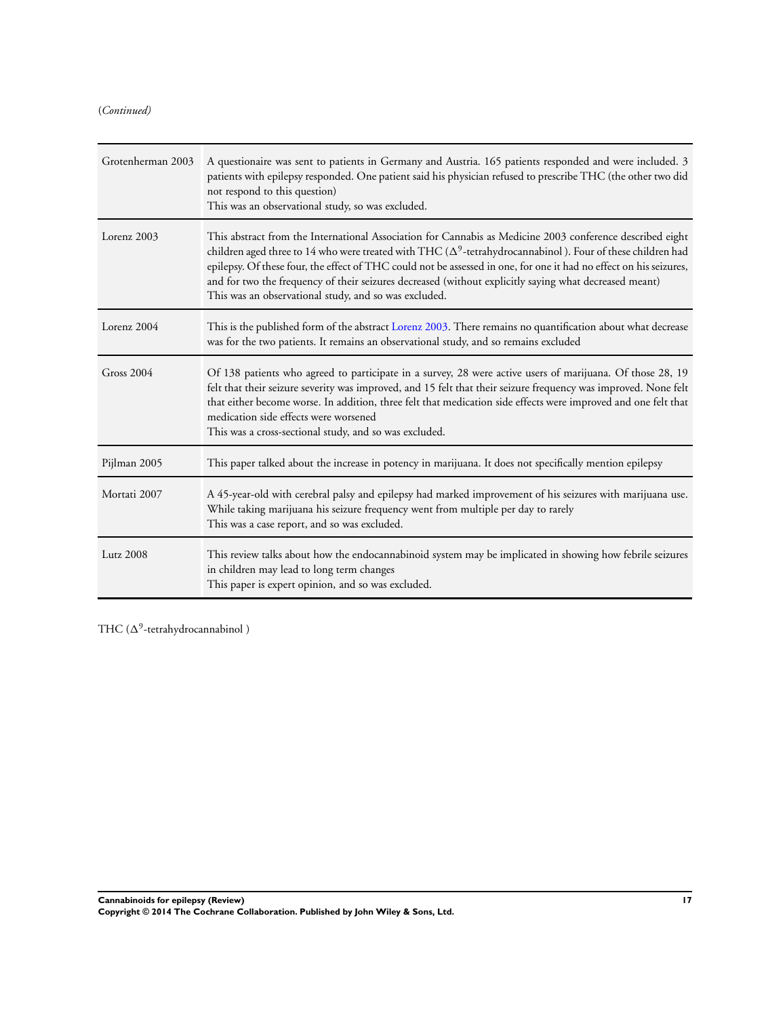(*Continued)*

| Grotenherman 2003 | A questionaire was sent to patients in Germany and Austria. 165 patients responded and were included. 3<br>patients with epilepsy responded. One patient said his physician refused to prescribe THC (the other two did<br>not respond to this question)<br>This was an observational study, so was excluded.                                                                                                                                                                                                             |  |
|-------------------|---------------------------------------------------------------------------------------------------------------------------------------------------------------------------------------------------------------------------------------------------------------------------------------------------------------------------------------------------------------------------------------------------------------------------------------------------------------------------------------------------------------------------|--|
| Lorenz 2003       | This abstract from the International Association for Cannabis as Medicine 2003 conference described eight<br>children aged three to 14 who were treated with THC ( $\Delta^9$ -tetrahydrocannabinol). Four of these children had<br>epilepsy. Of these four, the effect of THC could not be assessed in one, for one it had no effect on his seizures,<br>and for two the frequency of their seizures decreased (without explicitly saying what decreased meant)<br>This was an observational study, and so was excluded. |  |
| Lorenz 2004       | This is the published form of the abstract Lorenz 2003. There remains no quantification about what decrease<br>was for the two patients. It remains an observational study, and so remains excluded                                                                                                                                                                                                                                                                                                                       |  |
| <b>Gross 2004</b> | Of 138 patients who agreed to participate in a survey, 28 were active users of marijuana. Of those 28, 19<br>felt that their seizure severity was improved, and 15 felt that their seizure frequency was improved. None felt<br>that either become worse. In addition, three felt that medication side effects were improved and one felt that<br>medication side effects were worsened<br>This was a cross-sectional study, and so was excluded.                                                                         |  |
| Pijlman 2005      | This paper talked about the increase in potency in marijuana. It does not specifically mention epilepsy                                                                                                                                                                                                                                                                                                                                                                                                                   |  |
| Mortati 2007      | A 45-year-old with cerebral palsy and epilepsy had marked improvement of his seizures with marijuana use.<br>While taking marijuana his seizure frequency went from multiple per day to rarely<br>This was a case report, and so was excluded.                                                                                                                                                                                                                                                                            |  |
| <b>Lutz 2008</b>  | This review talks about how the endocannabinoid system may be implicated in showing how febrile seizures<br>in children may lead to long term changes<br>This paper is expert opinion, and so was excluded.                                                                                                                                                                                                                                                                                                               |  |

THC  $(\Delta^9$ -tetrahydrocannabinol)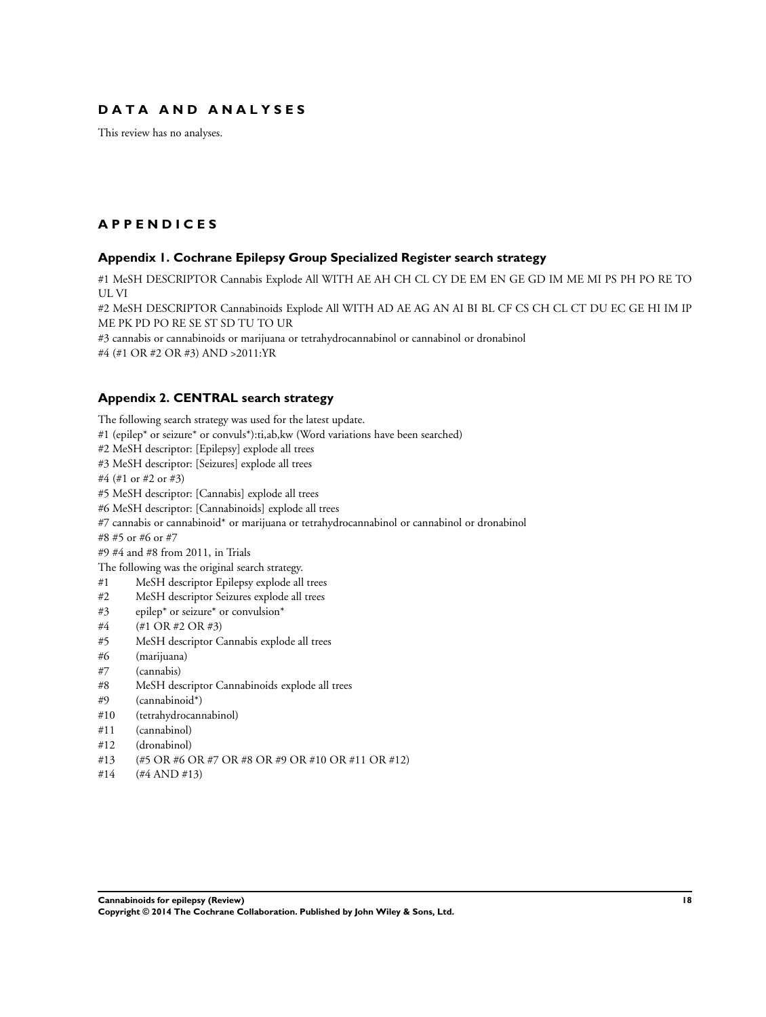# <span id="page-19-0"></span>**D A T A A N D A N A L Y S E S**

This review has no analyses.

# **A P P E N D I C E S**

### **Appendix 1. Cochrane Epilepsy Group Specialized Register search strategy**

#1 MeSH DESCRIPTOR Cannabis Explode All WITH AE AH CH CL CY DE EM EN GE GD IM ME MI PS PH PO RE TO UL VI

#2 MeSH DESCRIPTOR Cannabinoids Explode All WITH AD AE AG AN AI BI BL CF CS CH CL CT DU EC GE HI IM IP ME PK PD PO RE SE ST SD TU TO UR

#3 cannabis or cannabinoids or marijuana or tetrahydrocannabinol or cannabinol or dronabinol #4 (#1 OR #2 OR #3) AND >2011:YR

### **Appendix 2. CENTRAL search strategy**

The following search strategy was used for the latest update. #1 (epilep\* or seizure\* or convuls\*):ti,ab,kw (Word variations have been searched) #2 MeSH descriptor: [Epilepsy] explode all trees #3 MeSH descriptor: [Seizures] explode all trees #4 (#1 or #2 or #3) #5 MeSH descriptor: [Cannabis] explode all trees #6 MeSH descriptor: [Cannabinoids] explode all trees #7 cannabis or cannabinoid\* or marijuana or tetrahydrocannabinol or cannabinol or dronabinol #8 #5 or #6 or #7 #9 #4 and #8 from 2011, in Trials The following was the original search strategy. #1 MeSH descriptor Epilepsy explode all trees #2 MeSH descriptor Seizures explode all trees #3 epilep\* or seizure\* or convulsion\* #4 (#1 OR #2 OR #3) #5 MeSH descriptor Cannabis explode all trees #6 (marijuana) #7 (cannabis) #8 MeSH descriptor Cannabinoids explode all trees #9 (cannabinoid\*) #10 (tetrahydrocannabinol) #11 (cannabinol) #12 (dronabinol) #13 (#5 OR #6 OR #7 OR #8 OR #9 OR #10 OR #11 OR #12)

#14 (#4 AND #13)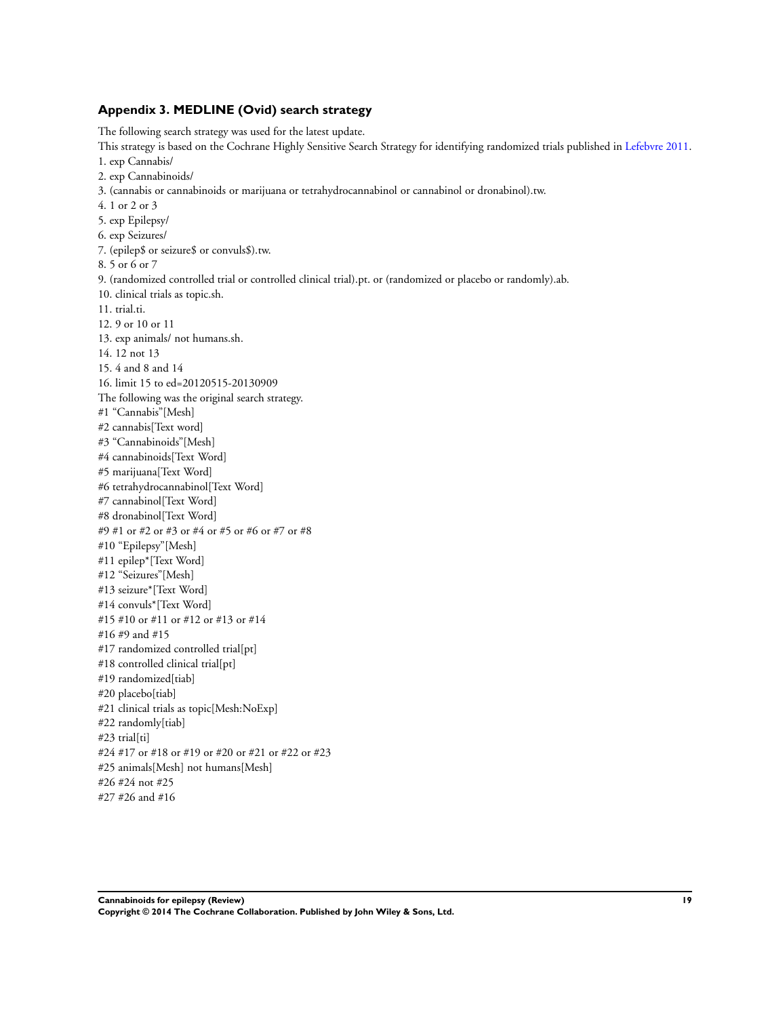### <span id="page-20-0"></span>**Appendix 3. MEDLINE (Ovid) search strategy**

The following search strategy was used for the latest update. This strategy is based on the Cochrane Highly Sensitive Search Strategy for identifying randomized trials published in [Lefebvre 2011.](#page-8-0) 1. exp Cannabis/ 2. exp Cannabinoids/ 3. (cannabis or cannabinoids or marijuana or tetrahydrocannabinol or cannabinol or dronabinol).tw. 4. 1 or 2 or 3 5. exp Epilepsy/ 6. exp Seizures/ 7. (epilep\$ or seizure\$ or convuls\$).tw. 8. 5 or 6 or 7 9. (randomized controlled trial or controlled clinical trial).pt. or (randomized or placebo or randomly).ab. 10. clinical trials as topic.sh. 11. trial.ti. 12. 9 or 10 or 11 13. exp animals/ not humans.sh. 14. 12 not 13 15. 4 and 8 and 14 16. limit 15 to ed=20120515-20130909 The following was the original search strategy. #1 "Cannabis"[Mesh] #2 cannabis[Text word] #3 "Cannabinoids"[Mesh] #4 cannabinoids[Text Word] #5 marijuana[Text Word] #6 tetrahydrocannabinol[Text Word] #7 cannabinol[Text Word] #8 dronabinol[Text Word] #9 #1 or #2 or #3 or #4 or #5 or #6 or #7 or #8 #10 "Epilepsy"[Mesh] #11 epilep\*[Text Word] #12 "Seizures"[Mesh] #13 seizure\*[Text Word] #14 convuls\*[Text Word] #15 #10 or #11 or #12 or #13 or #14 #16 #9 and #15 #17 randomized controlled trial[pt] #18 controlled clinical trial[pt] #19 randomized[tiab] #20 placebo[tiab] #21 clinical trials as topic[Mesh:NoExp]

#22 randomly[tiab] #23 trial[ti] #24 #17 or #18 or #19 or #20 or #21 or #22 or #23 #25 animals[Mesh] not humans[Mesh] #26 #24 not #25 #27 #26 and #16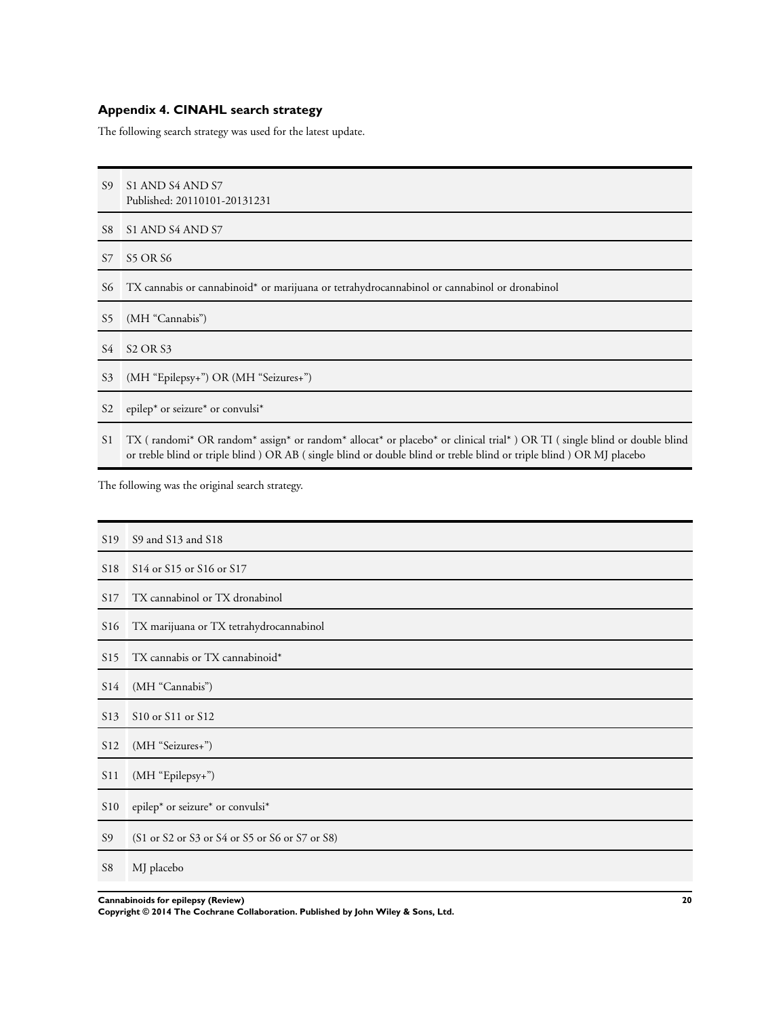### <span id="page-21-0"></span>**Appendix 4. CINAHL search strategy**

The following search strategy was used for the latest update.

| S9             | S1 AND S4 AND S7<br>Published: 20110101-20131231                                                                                                                                                                                                 |
|----------------|--------------------------------------------------------------------------------------------------------------------------------------------------------------------------------------------------------------------------------------------------|
|                | S8 S1 AND S4 AND S7                                                                                                                                                                                                                              |
| $S$ 7          | <b>S5 OR S6</b>                                                                                                                                                                                                                                  |
| S6             | TX cannabis or cannabinoid <sup>*</sup> or marijuana or tetrahydrocannabinol or cannabinol or dronabinol                                                                                                                                         |
|                | S5 (MH "Cannabis")                                                                                                                                                                                                                               |
|                | S4 S2 OR S3                                                                                                                                                                                                                                      |
|                | S3 (MH "Epilepsy+") OR (MH "Seizures+")                                                                                                                                                                                                          |
| S <sub>2</sub> | epilep <sup>*</sup> or seizure <sup>*</sup> or convulsi <sup>*</sup>                                                                                                                                                                             |
| S1             | TX (randomi* OR random* assign* or random* allocat* or placebo* or clinical trial*) OR TI (single blind or double blind<br>or treble blind or triple blind ) OR AB (single blind or double blind or treble blind or triple blind ) OR MJ placebo |

The following was the original search strategy.

### S19 S9 and S13 and S18

- S18 S14 or S15 or S16 or S17
- S17 TX cannabinol or TX dronabinol
- S16 TX marijuana or TX tetrahydrocannabinol
- S15 TX cannabis or TX cannabinoid\*
- S14 (MH "Cannabis")
- S13 S10 or S11 or S12
- S12 (MH "Seizures+")
- S11 (MH "Epilepsy+")
- S10 epilep\* or seizure\* or convulsi\*
- S9 (S1 or S2 or S3 or S4 or S5 or S6 or S7 or S8)
- S8 MJ placebo

**Cannabinoids for epilepsy (Review) 20**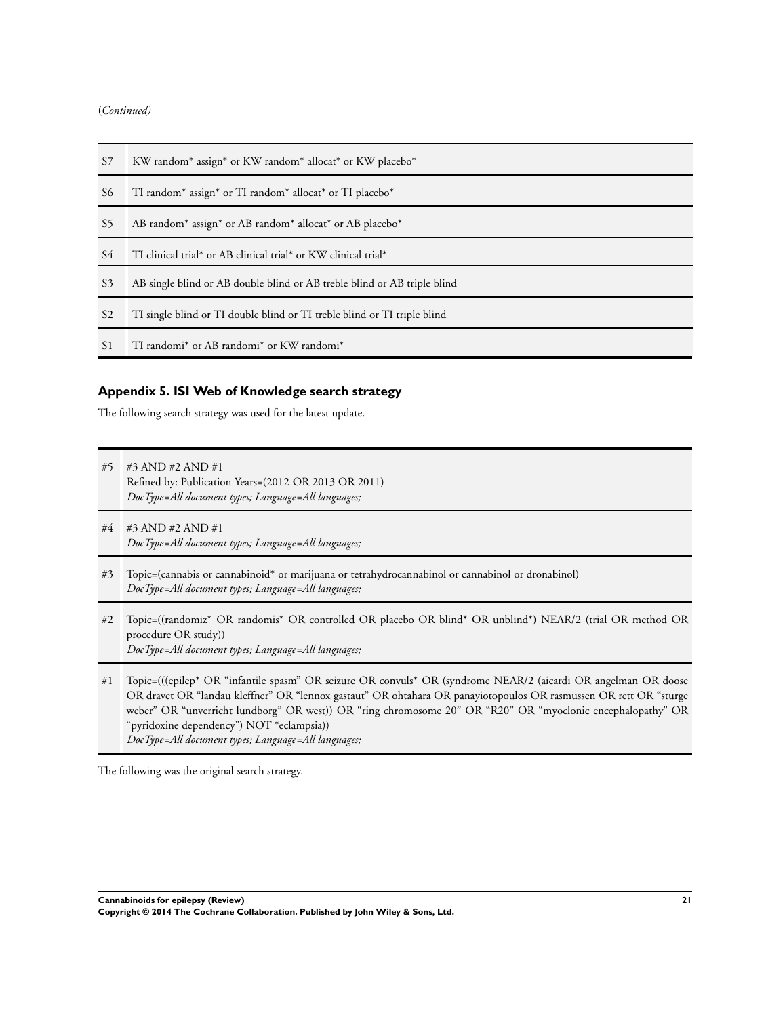### <span id="page-22-0"></span>(*Continued)*

| S7             | KW random* assign* or KW random* allocat* or KW placebo*                      |
|----------------|-------------------------------------------------------------------------------|
| S6             | TI random* assign* or TI random* allocat* or TI placebo*                      |
| S5             | AB random* assign* or AB random* allocat* or AB placebo*                      |
| S4             | TI clinical trial* or AB clinical trial* or KW clinical trial*                |
| S <sub>3</sub> | AB single blind or AB double blind or AB treble blind or AB triple blind      |
| S <sub>2</sub> | TI single blind or TI double blind or TI treble blind or TI triple blind      |
| S <sub>1</sub> | TI randomi <sup>*</sup> or AB randomi <sup>*</sup> or KW randomi <sup>*</sup> |

### **Appendix 5. ISI Web of Knowledge search strategy**

The following search strategy was used for the latest update.

- #5 #3 AND #2 AND #1 Refined by: Publication Years=(2012 OR 2013 OR 2011) *DocType=All document types; Language=All languages;*
- #4 #3 AND #2 AND #1 *DocType=All document types; Language=All languages;*
- #3 Topic=(cannabis or cannabinoid\* or marijuana or tetrahydrocannabinol or cannabinol or dronabinol) *DocType=All document types; Language=All languages;*
- #2 Topic=((randomiz\* OR randomis\* OR controlled OR placebo OR blind\* OR unblind\*) NEAR/2 (trial OR method OR procedure OR study)) *DocType=All document types; Language=All languages;*
- #1 Topic=(((epilep\* OR "infantile spasm" OR seizure OR convuls\* OR (syndrome NEAR/2 (aicardi OR angelman OR doose OR dravet OR "landau kleffner" OR "lennox gastaut" OR ohtahara OR panayiotopoulos OR rasmussen OR rett OR "sturge weber" OR "unverricht lundborg" OR west)) OR "ring chromosome 20" OR "R20" OR "myoclonic encephalopathy" OR "pyridoxine dependency") NOT \*eclampsia)) *DocType=All document types; Language=All languages;*

The following was the original search strategy.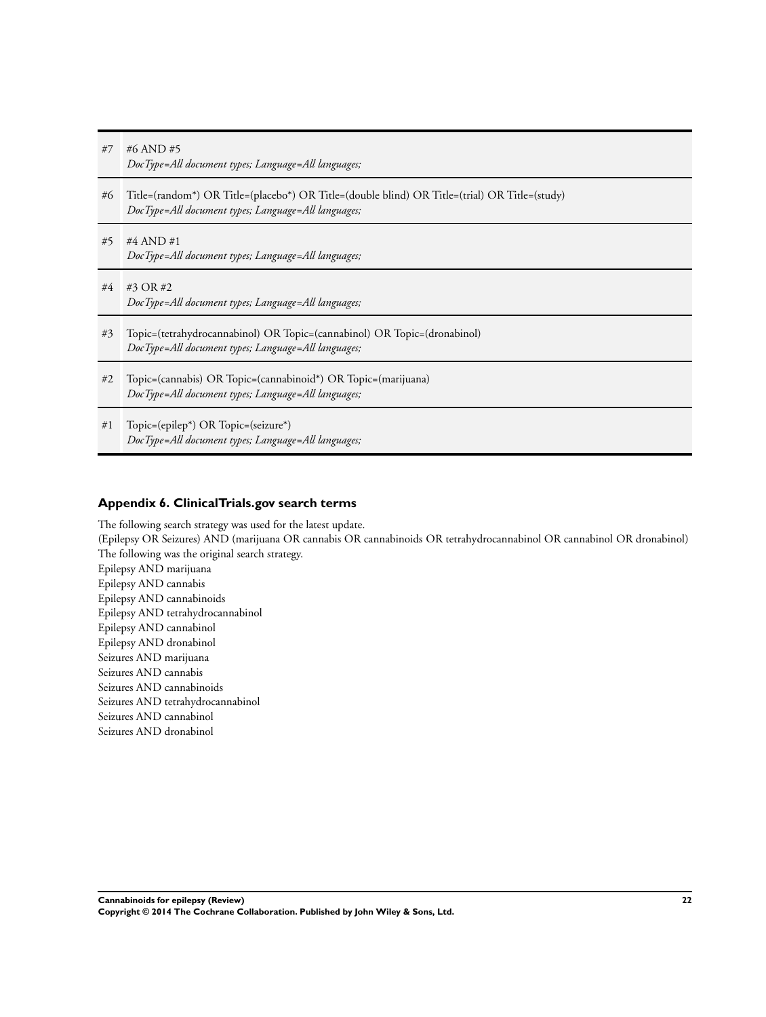<span id="page-23-0"></span>

| #7 | #6 AND #5<br>DocType=All document types; Language=All languages;                                                                                     |
|----|------------------------------------------------------------------------------------------------------------------------------------------------------|
| #6 | Title=(random*) OR Title=(placebo*) OR Title=(double blind) OR Title=(trial) OR Title=(study)<br>DocType=All document types; Language=All languages; |
| #5 | #4 AND #1<br>DocType=All document types; Language=All languages;                                                                                     |
| #4 | #3 OR #2<br>DocType=All document types; Language=All languages;                                                                                      |
| #3 | Topic=(tetrahydrocannabinol) OR Topic=(cannabinol) OR Topic=(dronabinol)<br>DocType=All document types; Language=All languages;                      |
| #2 | Topic=(cannabis) OR Topic=(cannabinoid*) OR Topic=(marijuana)<br>DocType=All document types; Language=All languages;                                 |
| #1 | Topic=(epilep*) OR Topic=(seizure*)<br>DocType=All document types; Language=All languages;                                                           |

### **Appendix 6. ClinicalTrials.gov search terms**

The following search strategy was used for the latest update. (Epilepsy OR Seizures) AND (marijuana OR cannabis OR cannabinoids OR tetrahydrocannabinol OR cannabinol OR dronabinol) The following was the original search strategy. Epilepsy AND marijuana Epilepsy AND cannabis Epilepsy AND cannabinoids Epilepsy AND tetrahydrocannabinol Epilepsy AND cannabinol Epilepsy AND dronabinol Seizures AND marijuana Seizures AND cannabis Seizures AND cannabinoids Seizures AND tetrahydrocannabinol Seizures AND cannabinol Seizures AND dronabinol